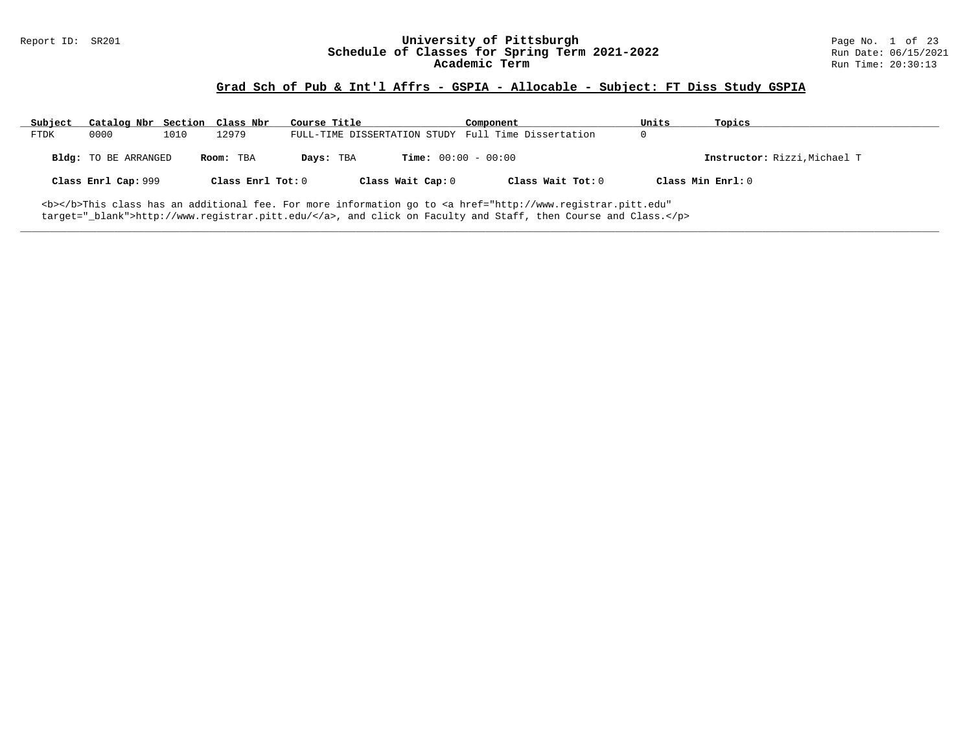# Report ID: SR201 **University of Pittsburgh University of Pittsburgh** Page No. 1 of 23<br>**Schedule of Classes for Spring Term 2021-2022** Run Date: 06/15/2021 Schedule of Classes for Spring Term 2021-2022<br>Academic Term

### **Grad Sch of Pub & Int'l Affrs - GSPIA - Allocable - Subject: FT Diss Study GSPIA**

| Subject                                                                                                                      | Catalog Nbr Section Class Nbr |      |                     | Course Title |                              | Component                                           | Units | Topics                       |
|------------------------------------------------------------------------------------------------------------------------------|-------------------------------|------|---------------------|--------------|------------------------------|-----------------------------------------------------|-------|------------------------------|
| <b>FTDK</b>                                                                                                                  | 0000                          | 1010 | 12979               |              |                              | FULL-TIME DISSERTATION STUDY Full Time Dissertation | 0     |                              |
|                                                                                                                              | Bldg: TO BE ARRANGED          |      | Room: TBA           | Days: TBA    | <b>Time:</b> $00:00 - 00:00$ |                                                     |       | Instructor: Rizzi, Michael T |
|                                                                                                                              | Class Enrl Cap: 999           |      | Class Enrl Tot: $0$ |              | Class Wait Cap: 0            | Class Wait Tot: 0                                   |       | Class Min Enrl: 0            |
| <b></b> This class has an additional fee. For more information go to <a <="" href="http://www.registrar.pitt.edu" td=""></a> |                               |      |                     |              |                              |                                                     |       |                              |

**\_\_\_\_\_\_\_\_\_\_\_\_\_\_\_\_\_\_\_\_\_\_\_\_\_\_\_\_\_\_\_\_\_\_\_\_\_\_\_\_\_\_\_\_\_\_\_\_\_\_\_\_\_\_\_\_\_\_\_\_\_\_\_\_\_\_\_\_\_\_\_\_\_\_\_\_\_\_\_\_\_\_\_\_\_\_\_\_\_\_\_\_\_\_\_\_\_\_\_\_\_\_\_\_\_\_\_\_\_\_\_\_\_\_\_\_\_\_\_\_\_\_\_\_\_\_\_\_\_\_\_\_\_\_\_\_\_\_\_\_\_\_\_\_\_\_\_\_\_\_\_\_\_\_\_\_**

target="\_blank">http://www.registrar.pitt.edu/</a>, and click on Faculty and Staff, then Course and Class.</p>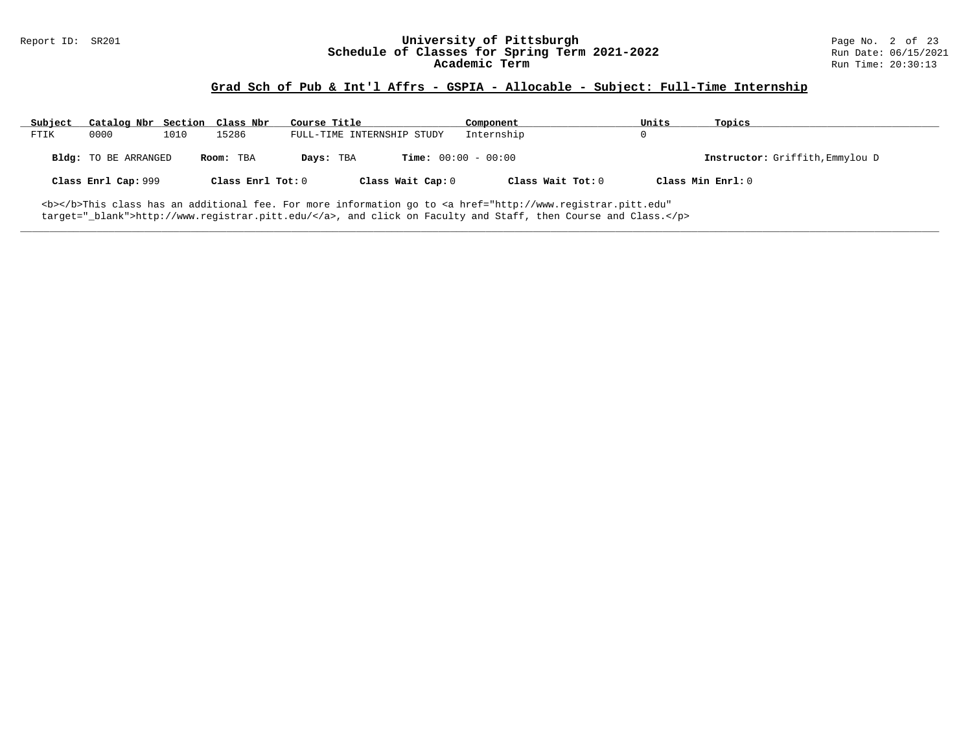# Report ID: SR201 **University of Pittsburgh University of Pittsburgh** Page No. 2 of 23<br>**Schedule of Classes for Spring Term 2021-2022** Run Date: 06/15/2021 Schedule of Classes for Spring Term 2021-2022<br>Academic Term

### **Grad Sch of Pub & Int'l Affrs - GSPIA - Allocable - Subject: Full-Time Internship**

| Subject | Catalog Nbr Section Class Nbr |      |                   | Course Title               |                              | Component         | Units             | Topics                          |
|---------|-------------------------------|------|-------------------|----------------------------|------------------------------|-------------------|-------------------|---------------------------------|
| FTIK    | 0000                          | 1010 | 15286             | FULL-TIME INTERNSHIP STUDY |                              | Internship        |                   |                                 |
|         | Bldg: TO BE ARRANGED          |      | Room: TBA         | Days: TBA                  | <b>Time:</b> $00:00 - 00:00$ |                   |                   | Instructor: Griffith, Emmylou D |
|         | Class Enrl Cap: 999           |      | Class Enrl Tot: 0 |                            | Class Wait Cap: 0            | Class Wait Tot: 0 | Class Min Enrl: 0 |                                 |
|         |                               |      |                   |                            |                              |                   |                   |                                 |

**\_\_\_\_\_\_\_\_\_\_\_\_\_\_\_\_\_\_\_\_\_\_\_\_\_\_\_\_\_\_\_\_\_\_\_\_\_\_\_\_\_\_\_\_\_\_\_\_\_\_\_\_\_\_\_\_\_\_\_\_\_\_\_\_\_\_\_\_\_\_\_\_\_\_\_\_\_\_\_\_\_\_\_\_\_\_\_\_\_\_\_\_\_\_\_\_\_\_\_\_\_\_\_\_\_\_\_\_\_\_\_\_\_\_\_\_\_\_\_\_\_\_\_\_\_\_\_\_\_\_\_\_\_\_\_\_\_\_\_\_\_\_\_\_\_\_\_\_\_\_\_\_\_\_\_\_**

<b></b>This class has an additional fee. For more information go to <a href="http://www.registrar.pitt.edu" target="\_blank">http://www.registrar.pitt.edu/</a>, and click on Faculty and Staff, then Course and Class.</p>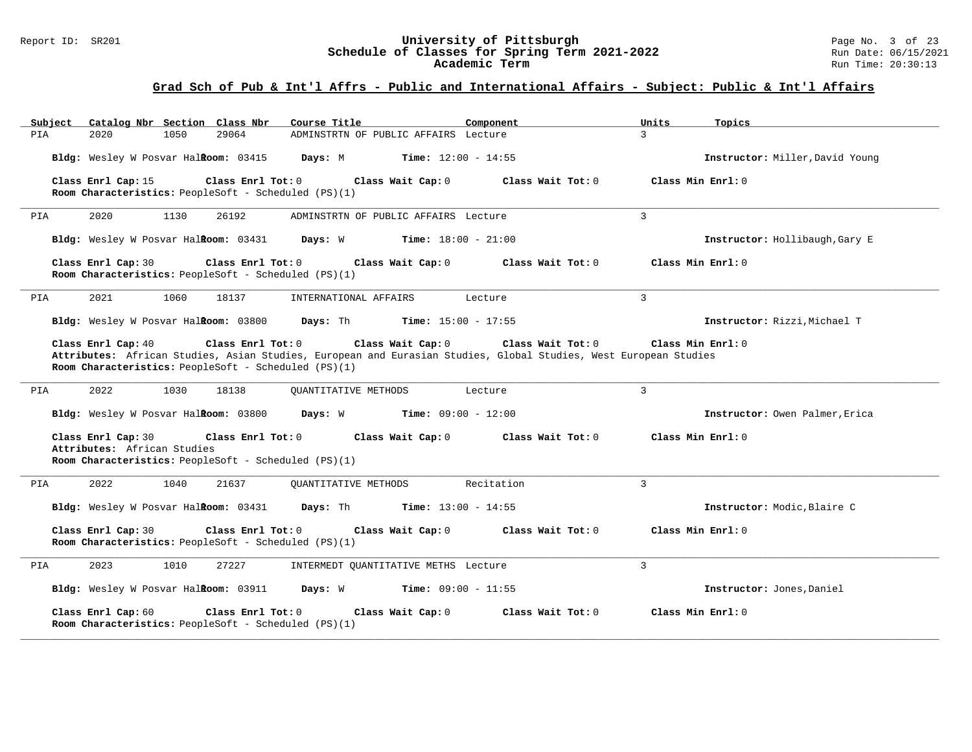#### Report ID: SR201 **University of Pittsburgh** Page No. 3 of 23 **Schedule of Classes for Spring Term 2021-2022** Run Date: 06/15/2021 **Academic Term** Run Time: 20:30:13

| Catalog Nbr Section Class Nbr<br>Subject                                                                                       | Course Title <b>Source Search</b><br>Component                                                                                                             | Units<br>Topics                 |
|--------------------------------------------------------------------------------------------------------------------------------|------------------------------------------------------------------------------------------------------------------------------------------------------------|---------------------------------|
| 29064<br>PIA<br>2020<br>1050                                                                                                   | ADMINSTRTN OF PUBLIC AFFAIRS Lecture                                                                                                                       | $\mathcal{L}$                   |
| Bldg: Wesley W Posvar Halkoom: 03415                                                                                           | <b>Time:</b> $12:00 - 14:55$<br>Days: M                                                                                                                    | Instructor: Miller, David Young |
| Class Enrl Cap: 15<br>Room Characteristics: PeopleSoft - Scheduled (PS)(1)                                                     | Class Enrl Tot: 0 Class Wait Cap: 0<br>Class Wait Tot: 0                                                                                                   | Class Min $Enr1: 0$             |
| 2020<br>1130<br>26192<br>PIA                                                                                                   | ADMINSTRTN OF PUBLIC AFFAIRS Lecture                                                                                                                       | 3                               |
| Bldg: Wesley W Posvar Halkoom: 03431 Days: W                                                                                   | $Time: 18:00 - 21:00$                                                                                                                                      | Instructor: Hollibaugh, Gary E  |
| Class Enrl Cap: 30<br>Class Enrl Tot: 0<br>Room Characteristics: PeopleSoft - Scheduled (PS)(1)                                | Class Wait Cap: 0<br>Class Wait Tot: $0$                                                                                                                   | Class Min Enrl: 0               |
| 2021<br>1060<br>18137<br>PIA                                                                                                   | INTERNATIONAL AFFAIRS<br>Lecture                                                                                                                           | $\overline{3}$                  |
| Bldg: Wesley W Posvar HalRoom: 03800                                                                                           | Days: Th<br>Time: $15:00 - 17:55$                                                                                                                          | Instructor: Rizzi, Michael T    |
| Class Enrl Cap: 40<br>Class Enrl Tot: 0<br>Room Characteristics: PeopleSoft - Scheduled (PS)(1)                                | Class Wait Cap: 0<br>Class Wait Tot: 0<br>Attributes: African Studies, Asian Studies, European and Eurasian Studies, Global Studies, West European Studies | Class Min Enrl: 0               |
| 2022<br>1030<br>18138<br>PIA                                                                                                   | <b>OUANTITATIVE METHODS</b><br>Lecture                                                                                                                     | $\mathbf{3}$                    |
| Bldg: Wesley W Posvar Halkoom: 03800                                                                                           | Days: W<br><b>Time:</b> $09:00 - 12:00$                                                                                                                    | Instructor: Owen Palmer, Erica  |
| Class Enrl Cap: 30<br>Class Enrl Tot: 0<br>Attributes: African Studies<br>Room Characteristics: PeopleSoft - Scheduled (PS)(1) | Class Wait Cap: 0<br>Class Wait Tot: 0                                                                                                                     | Class Min Enrl: 0               |
| 2022<br>1040<br>21637<br>PIA                                                                                                   | Recitation<br>OUANTITATIVE METHODS                                                                                                                         | 3                               |
| Bldg: Wesley W Posvar Halkoom: 03431                                                                                           | <b>Days:</b> Th <b>Time:</b> $13:00 - 14:55$                                                                                                               | Instructor: Modic, Blaire C     |
| Class Enrl Cap: 30<br>Class Enrl Tot: 0<br>Room Characteristics: PeopleSoft - Scheduled (PS)(1)                                | Class Wait Cap: 0<br>Class Wait Tot: 0                                                                                                                     | Class Min Enrl: 0               |
| 2023<br>1010<br>27227<br>PIA                                                                                                   | INTERMEDT OUANTITATIVE METHS Lecture                                                                                                                       | $\mathbf{3}$                    |
|                                                                                                                                | Bldg: Wesley W Posvar Halkoom: 03911 Days: W Time: 09:00 - 11:55                                                                                           | Instructor: Jones, Daniel       |
| Class Enrl Cap: 60<br>Class Enrl Tot: 0<br>Room Characteristics: PeopleSoft - Scheduled (PS)(1)                                | Class Wait Cap: 0<br>Class Wait Tot: 0                                                                                                                     | Class Min Enrl: 0               |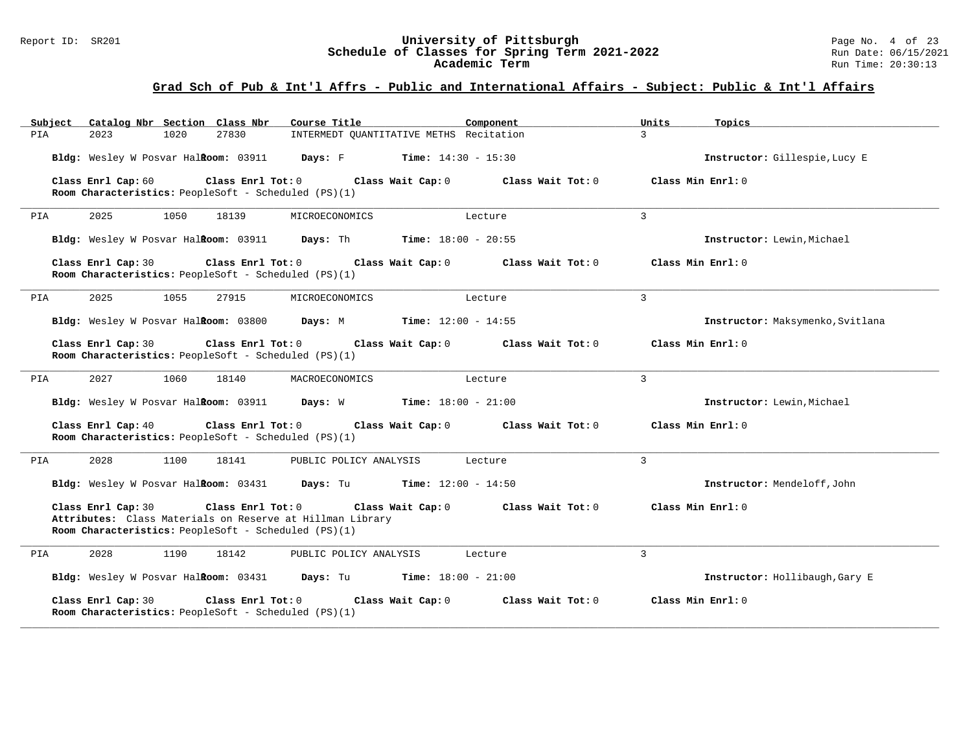#### Report ID: SR201 **University of Pittsburgh** Page No. 4 of 23 **Schedule of Classes for Spring Term 2021-2022** Run Date: 06/15/2021 **Academic Term** Run Time: 20:30:13

| Catalog Nbr Section Class Nbr<br>Subject                                                                                                                     | Course Title                                 | Component         | Units<br>Topics                  |
|--------------------------------------------------------------------------------------------------------------------------------------------------------------|----------------------------------------------|-------------------|----------------------------------|
| 27830<br>PIA<br>2023<br>1020                                                                                                                                 | INTERMEDT QUANTITATIVE METHS Recitation      |                   | $\mathcal{L}$                    |
| Bldg: Wesley W Posvar Halkoom: 03911                                                                                                                         | Days: F<br><b>Time:</b> $14:30 - 15:30$      |                   | Instructor: Gillespie, Lucy E    |
| Class Enrl Cap: 60<br>Class Enrl Tot: 0<br>Room Characteristics: PeopleSoft - Scheduled (PS)(1)                                                              | Class Wait Cap: 0                            | Class Wait Tot: 0 | Class Min Enrl: 0                |
| 2025<br>1050<br>18139<br>PIA                                                                                                                                 | MICROECONOMICS                               | Lecture           | 3                                |
| Bldg: Wesley W Posvar HalRoom: 03911                                                                                                                         | <b>Days:</b> Th <b>Time:</b> $18:00 - 20:55$ |                   | Instructor: Lewin, Michael       |
| Class Enrl Tot: 0<br>Class Enrl Cap: 30<br>Room Characteristics: PeopleSoft - Scheduled (PS)(1)                                                              | Class Wait Cap: 0                            | Class Wait Tot: 0 | Class Min Enrl: 0                |
| 2025<br>1055<br>27915<br>PIA                                                                                                                                 | MICROECONOMICS                               | Lecture           | 3                                |
| Bldg: Wesley W Posvar Halkoom: 03800                                                                                                                         | <b>Time:</b> $12:00 - 14:55$<br>Days: M      |                   | Instructor: Maksymenko, Svitlana |
| Class Enrl Cap: 30<br>Class Enrl Tot: 0<br>Room Characteristics: PeopleSoft - Scheduled (PS)(1)                                                              | Class Wait Cap: 0                            | Class Wait Tot: 0 | Class Min Enrl: 0                |
| 2027<br>1060<br>18140<br>PIA                                                                                                                                 | MACROECONOMICS                               | Lecture           | 3                                |
| Bldg: Wesley W Posvar Halkoom: 03911                                                                                                                         | Days: W<br>$Time: 18:00 - 21:00$             |                   | Instructor: Lewin, Michael       |
| Class Enrl Cap: 40<br>Class Enrl Tot: 0<br>Room Characteristics: PeopleSoft - Scheduled (PS)(1)                                                              | Class Wait Cap: 0                            | Class Wait Tot: 0 | Class Min Enrl: 0                |
| 2028<br>1100<br>18141<br>PIA                                                                                                                                 | PUBLIC POLICY ANALYSIS                       | Lecture           | 3                                |
| <b>Bldg:</b> Wesley W Posvar Hal <b>Room:</b> $03431$ <b>Days:</b> Tu <b>Time:</b> $12:00 - 14:50$                                                           |                                              |                   | Instructor: Mendeloff, John      |
| Class Enrl Cap: 30<br>Class Enrl Tot: 0<br>Attributes: Class Materials on Reserve at Hillman Library<br>Room Characteristics: PeopleSoft - Scheduled (PS)(1) | Class Wait Cap: 0                            | Class Wait Tot: 0 | Class Min Enrl: 0                |
| 2028<br>PIA<br>1190<br>18142                                                                                                                                 | PUBLIC POLICY ANALYSIS                       | Lecture           | 3                                |
| Bldg: Wesley W Posvar HalRoom: 03431                                                                                                                         | Days: Tu<br>$Time: 18:00 - 21:00$            |                   | Instructor: Hollibaugh, Gary E   |
| Class Enrl Cap: 30<br>Class Enrl Tot: 0<br>Room Characteristics: PeopleSoft - Scheduled (PS)(1)                                                              | Class Wait Cap: 0                            | Class Wait Tot: 0 | Class Min Enrl: 0                |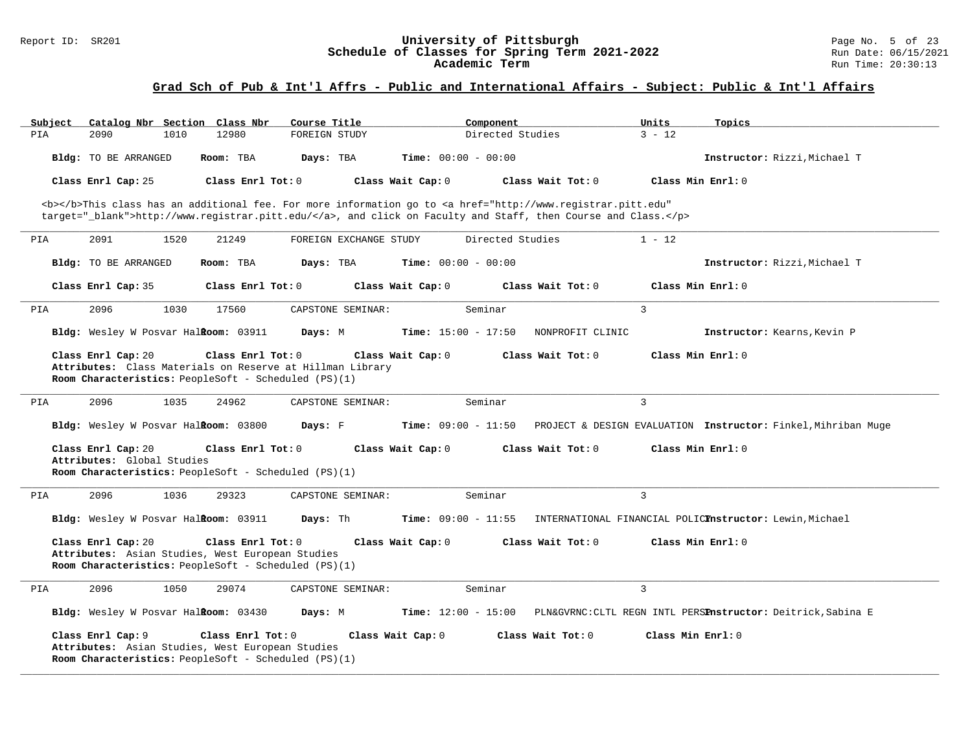#### Report ID: SR201 **University of Pittsburgh** Page No. 5 of 23 **Schedule of Classes for Spring Term 2021-2022** Run Date: 06/15/2021 **Academic Term** Run Time: 20:30:13

| Subject |                                                  |      | Catalog Nbr Section Class Nbr                                                                                                          | Course Title  |                        |                              | Component        |                                                                                                                                                                                                                                    | Units             | Topics                                                        |
|---------|--------------------------------------------------|------|----------------------------------------------------------------------------------------------------------------------------------------|---------------|------------------------|------------------------------|------------------|------------------------------------------------------------------------------------------------------------------------------------------------------------------------------------------------------------------------------------|-------------------|---------------------------------------------------------------|
| PIA     | 2090                                             | 1010 | 12980                                                                                                                                  | FOREIGN STUDY |                        |                              | Directed Studies |                                                                                                                                                                                                                                    | $3 - 12$          |                                                               |
|         | Bldg: TO BE ARRANGED                             |      | Room: TBA                                                                                                                              | Days: TBA     |                        | <b>Time:</b> $00:00 - 00:00$ |                  |                                                                                                                                                                                                                                    |                   | Instructor: Rizzi, Michael T                                  |
|         | Class Enrl Cap: 25                               |      | Class Enrl Tot: 0                                                                                                                      |               |                        | Class Wait Cap: 0            |                  | Class Wait Tot: 0                                                                                                                                                                                                                  |                   | Class Min Enrl: 0                                             |
|         |                                                  |      |                                                                                                                                        |               |                        |                              |                  |                                                                                                                                                                                                                                    |                   |                                                               |
|         |                                                  |      |                                                                                                                                        |               |                        |                              |                  | <b></b> This class has an additional fee. For more information go to <a <br="" href="http://www.registrar.pitt.edu">target="_blank"&gt;http://www.registrar.pitt.edu/</a> , and click on Faculty and Staff, then Course and Class. |                   |                                                               |
|         |                                                  |      |                                                                                                                                        |               |                        |                              |                  |                                                                                                                                                                                                                                    |                   |                                                               |
| PIA     | 2091                                             | 1520 | 21249                                                                                                                                  |               | FOREIGN EXCHANGE STUDY |                              | Directed Studies |                                                                                                                                                                                                                                    | $1 - 12$          |                                                               |
|         | Bldg: TO BE ARRANGED                             |      | Room: TBA                                                                                                                              | Days: TBA     |                        | <b>Time:</b> $00:00 - 00:00$ |                  |                                                                                                                                                                                                                                    |                   | Instructor: Rizzi, Michael T                                  |
|         | Class Enrl Cap: 35                               |      | Class Enrl Tot: 0                                                                                                                      |               |                        | Class Wait Cap: 0            |                  | Class Wait Tot: 0                                                                                                                                                                                                                  |                   | Class Min Enrl: 0                                             |
| PIA     | 2096                                             | 1030 | 17560                                                                                                                                  |               | CAPSTONE SEMINAR:      |                              | Seminar          |                                                                                                                                                                                                                                    | $\overline{3}$    |                                                               |
|         | Bldg: Wesley W Posvar HalRoom: 03911             |      |                                                                                                                                        | Days: M       |                        | <b>Time:</b> $15:00 - 17:50$ |                  | NONPROFIT CLINIC                                                                                                                                                                                                                   |                   | Instructor: Kearns, Kevin P                                   |
|         | Class Enrl Cap: 20                               |      | Class Enrl Tot: 0<br>Attributes: Class Materials on Reserve at Hillman Library<br>Room Characteristics: PeopleSoft - Scheduled (PS)(1) |               |                        | Class Wait Cap: 0            |                  | Class Wait Tot: 0                                                                                                                                                                                                                  |                   | Class Min Enrl: 0                                             |
| PIA     | 2096                                             | 1035 | 24962                                                                                                                                  |               | CAPSTONE SEMINAR:      |                              | Seminar          |                                                                                                                                                                                                                                    | 3                 |                                                               |
|         | Bldg: Wesley W Posvar HalRoom: 03800             |      |                                                                                                                                        | Days: F       |                        | <b>Time:</b> $09:00 - 11:50$ |                  |                                                                                                                                                                                                                                    |                   | PROJECT & DESIGN EVALUATION Instructor: Finkel, Mihriban Muqe |
|         | Class Enrl Cap: 20<br>Attributes: Global Studies |      | Class Enrl Tot: 0                                                                                                                      |               |                        | Class Wait Cap: 0            |                  | Class Wait Tot: 0                                                                                                                                                                                                                  |                   | Class Min Enrl: 0                                             |
|         |                                                  |      | Room Characteristics: PeopleSoft - Scheduled (PS)(1)                                                                                   |               |                        |                              |                  |                                                                                                                                                                                                                                    |                   |                                                               |
|         |                                                  |      |                                                                                                                                        |               |                        |                              |                  |                                                                                                                                                                                                                                    |                   |                                                               |
| PIA     | 2096                                             | 1036 | 29323                                                                                                                                  |               | CAPSTONE SEMINAR:      |                              | Seminar          |                                                                                                                                                                                                                                    | 3                 |                                                               |
|         | Bldg: Wesley W Posvar Halkoom: 03911             |      |                                                                                                                                        | Days: Th      |                        | <b>Time:</b> $09:00 - 11:55$ |                  |                                                                                                                                                                                                                                    |                   | INTERNATIONAL FINANCIAL POLICYnstructor: Lewin, Michael       |
|         | Class Enrl Cap: 20                               |      | Class Enrl Tot: 0<br>Attributes: Asian Studies, West European Studies<br>Room Characteristics: PeopleSoft - Scheduled (PS)(1)          |               |                        | Class Wait Cap: 0            |                  | Class Wait Tot: 0                                                                                                                                                                                                                  |                   | Class Min Enrl: 0                                             |
| PIA     | 2096                                             | 1050 | 29074                                                                                                                                  |               | CAPSTONE SEMINAR:      |                              | Seminar          |                                                                                                                                                                                                                                    | 3                 |                                                               |
|         | Bldg: Wesley W Posvar HalRoom: 03430             |      |                                                                                                                                        | Days: M       |                        | <b>Time:</b> $12:00 - 15:00$ |                  |                                                                                                                                                                                                                                    |                   | PLN&GVRNC: CLTL REGN INTL PERSPnstructor: Deitrick, Sabina E  |
|         | Class Enrl Cap: 9                                |      | Class Enrl Tot: 0<br>Attributes: Asian Studies, West European Studies<br>Room Characteristics: PeopleSoft - Scheduled (PS)(1)          |               |                        | Class Wait Cap: 0            |                  | Class Wait Tot: 0                                                                                                                                                                                                                  | Class Min Enrl: 0 |                                                               |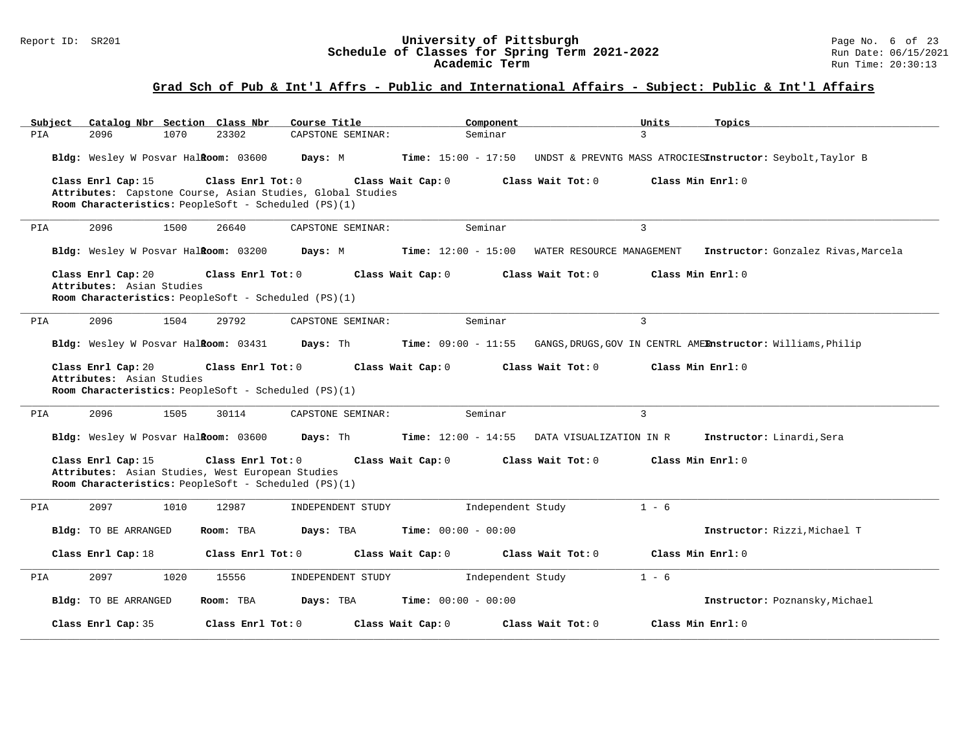#### Report ID: SR201 **University of Pittsburgh** Page No. 6 of 23 **Schedule of Classes for Spring Term 2021-2022** Run Date: 06/15/2021 **Academic Term** Run Time: 20:30:13

| Catalog Nbr Section Class Nbr<br>Subject                                                                                                                      | Course Title      | Component                                          | Units<br>Topics                                                                                                               |
|---------------------------------------------------------------------------------------------------------------------------------------------------------------|-------------------|----------------------------------------------------|-------------------------------------------------------------------------------------------------------------------------------|
| PIA<br>2096<br>1070<br>23302                                                                                                                                  | CAPSTONE SEMINAR: | Seminar                                            | $\mathcal{R}$                                                                                                                 |
| Bldg: Wesley W Posvar Halkoom: 03600                                                                                                                          | Days: M           |                                                    | Time: 15:00 - 17:50 UNDST & PREVNTG MASS ATROCIESInstructor: Seybolt, Taylor B                                                |
| Class Enrl Cap: 15<br>Class Enrl Tot: 0<br>Attributes: Capstone Course, Asian Studies, Global Studies<br>Room Characteristics: PeopleSoft - Scheduled (PS)(1) | Class Wait Cap: 0 | Class Wait Tot: 0                                  | Class Min Enrl: 0                                                                                                             |
| 2096<br>1500<br>26640<br>PIA                                                                                                                                  | CAPSTONE SEMINAR: | Seminar                                            | $\mathbf{3}$                                                                                                                  |
| Bldg: Wesley W Posvar Halkoom: 03200 Days: M                                                                                                                  |                   | $Time: 12:00 - 15:00$<br>WATER RESOURCE MANAGEMENT | Instructor: Gonzalez Rivas, Marcela                                                                                           |
| Class Enrl Cap: 20<br>Class Enrl Tot: 0<br>Attributes: Asian Studies<br>Room Characteristics: PeopleSoft - Scheduled (PS)(1)                                  | Class Wait Cap: 0 | Class Wait Tot: $0$                                | Class Min Enrl: 0                                                                                                             |
| 2096<br>1504<br>29792<br>PIA                                                                                                                                  | CAPSTONE SEMINAR: | Seminar                                            | $\overline{3}$                                                                                                                |
|                                                                                                                                                               |                   |                                                    | Bldg: Wesley W Posvar Halkoom: 03431 Days: Th Time: 09:00 - 11:55 GANGS, DRUGS, GOV IN CENTRL AMERnstructor: Williams, Philip |
| Class Enrl Cap: 20<br>Class Enrl Tot: 0<br>Attributes: Asian Studies<br><b>Room Characteristics:</b> PeopleSoft - Scheduled (PS)(1)                           | Class Wait Cap: 0 | Class Wait Tot: 0                                  | Class Min Enrl: 0                                                                                                             |
| 2096<br>1505<br>30114<br>PIA                                                                                                                                  | CAPSTONE SEMINAR: | Seminar                                            | $\overline{3}$                                                                                                                |
| Bldg: Wesley W Posvar Halkoom: 03600 Days: Th Time: 12:00 - 14:55                                                                                             |                   | DATA VISUALIZATION IN R                            | Instructor: Linardi, Sera                                                                                                     |
| Class Enrl Tot: 0<br>Class Enrl Cap: 15<br>Attributes: Asian Studies, West European Studies<br>Room Characteristics: PeopleSoft - Scheduled (PS)(1)           | Class Wait Cap: 0 | Class Wait Tot: 0                                  | Class Min Enrl: 0                                                                                                             |
| 12987<br>PIA<br>2097<br>1010                                                                                                                                  | INDEPENDENT STUDY | Independent Study                                  | $1 - 6$                                                                                                                       |
| Bldg: TO BE ARRANGED<br>Room: TBA                                                                                                                             | Days: TBA         | <b>Time:</b> $00:00 - 00:00$                       | Instructor: Rizzi, Michael T                                                                                                  |
| Class Enrl Tot: 0<br>Class Enrl Cap: 18                                                                                                                       | Class Wait Cap: 0 | Class Wait Tot: 0                                  | Class Min Enrl: 0                                                                                                             |
| 2097<br>1020<br>15556<br>PIA                                                                                                                                  | INDEPENDENT STUDY | Independent Study                                  | $1 - 6$                                                                                                                       |
| Bldg: TO BE ARRANGED<br>Room: TBA                                                                                                                             | Days: TBA         | <b>Time:</b> $00:00 - 00:00$                       | Instructor: Poznansky, Michael                                                                                                |
| Class Enrl Cap: 35<br>Class Enrl Tot: 0                                                                                                                       | Class Wait Cap: 0 | Class Wait Tot: 0                                  | Class Min Enrl: 0                                                                                                             |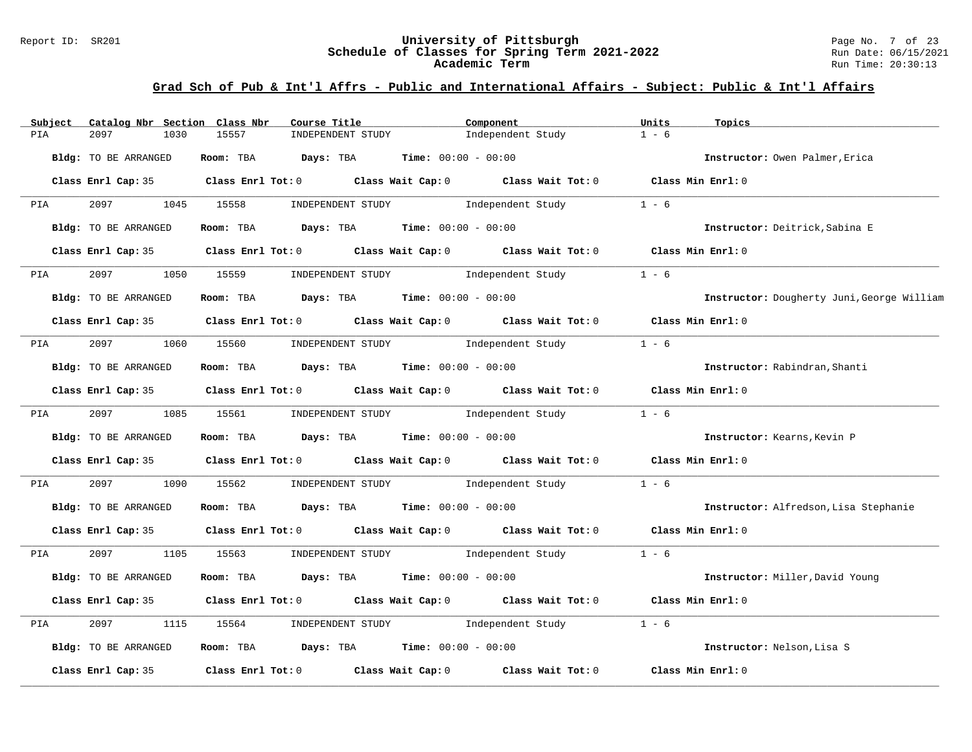#### Report ID: SR201 **University of Pittsburgh** Page No. 7 of 23 **Schedule of Classes for Spring Term 2021-2022** Run Date: 06/15/2021 **Academic Term** Run Time: 20:30:13

| Subject              |                      | Catalog Nbr Section Class Nbr | Course Title                                                                          | Component                                                                                  | Units             | Topics                                     |
|----------------------|----------------------|-------------------------------|---------------------------------------------------------------------------------------|--------------------------------------------------------------------------------------------|-------------------|--------------------------------------------|
| PIA<br>2097          | 1030                 | 15557                         | INDEPENDENT STUDY                                                                     | Independent Study                                                                          | $1 - 6$           |                                            |
|                      | Bldg: TO BE ARRANGED |                               | <b>Room:</b> TBA <b>Days:</b> TBA <b>Time:</b> 00:00 - 00:00                          |                                                                                            |                   | Instructor: Owen Palmer, Erica             |
|                      |                      |                               |                                                                                       | Class Enrl Cap: 35 Class Enrl Tot: 0 Class Wait Cap: 0 Class Wait Tot: 0 Class Min Enrl: 0 |                   |                                            |
| <b>PIA</b>           | 2097 — 2097          | 1045 15558                    | INDEPENDENT STUDY                                                                     | Independent Study                                                                          | $1 - 6$           |                                            |
| Bldg: TO BE ARRANGED |                      |                               | Room: TBA $Days: TBA$ Time: $00:00 - 00:00$                                           |                                                                                            |                   | Instructor: Deitrick, Sabina E             |
|                      |                      |                               |                                                                                       | Class Enrl Cap: 35 Class Enrl Tot: 0 Class Wait Cap: 0 Class Wait Tot: 0 Class Min Enrl: 0 |                   |                                            |
| <b>PIA</b>           | 2097 — 2007          | 1050 15559                    |                                                                                       | INDEPENDENT STUDY 1ndependent Study                                                        | $1 - 6$           |                                            |
|                      | Bldg: TO BE ARRANGED |                               | Room: TBA $Days:$ TBA $Time: 00:00 - 00:00$                                           |                                                                                            |                   | Instructor: Dougherty Juni, George William |
|                      |                      |                               |                                                                                       | Class Enrl Cap: 35 Class Enrl Tot: 0 Class Wait Cap: 0 Class Wait Tot: 0 Class Min Enrl: 0 |                   |                                            |
| <b>PIA</b>           |                      |                               |                                                                                       | 2097 1060 15560 INDEPENDENT STUDY Independent Study                                        | $1 - 6$           |                                            |
|                      | Bldg: TO BE ARRANGED |                               | Room: TBA $\rule{1em}{0.15mm}$ Days: TBA $\rule{1.5mm}{0.15mm}$ Time: $00:00 - 00:00$ |                                                                                            |                   | Instructor: Rabindran, Shanti              |
|                      |                      |                               |                                                                                       | Class Enrl Cap: 35 Class Enrl Tot: 0 Class Wait Cap: 0 Class Wait Tot: 0                   | Class Min Enrl: 0 |                                            |
| <b>PIA</b>           | 2097                 | 1085 15561                    |                                                                                       | INDEPENDENT STUDY 1ndependent Study                                                        | $1 - 6$           |                                            |
|                      | Bldg: TO BE ARRANGED |                               | Room: TBA $\rule{1em}{0.15mm}$ Days: TBA Time: $00:00 - 00:00$                        |                                                                                            |                   | Instructor: Kearns, Kevin P                |
|                      |                      |                               |                                                                                       | Class Enrl Cap: 35 Class Enrl Tot: 0 Class Wait Cap: 0 Class Wait Tot: 0 Class Min Enrl: 0 |                   |                                            |
| 2097<br>PIA          | 1090                 | 15562                         |                                                                                       | INDEPENDENT STUDY 1ndependent Study                                                        | $1 - 6$           |                                            |
|                      | Bldg: TO BE ARRANGED |                               | Room: TBA $\rule{1em}{0.15mm}$ Days: TBA $\rule{1.5mm}{0.15mm}$ Time: $00:00 - 00:00$ |                                                                                            |                   | Instructor: Alfredson, Lisa Stephanie      |
|                      |                      |                               |                                                                                       | Class Enrl Cap: 35 Class Enrl Tot: 0 Class Wait Cap: 0 Class Wait Tot: 0 Class Min Enrl: 0 |                   |                                            |
| PIA                  | 2097                 |                               |                                                                                       | 1105 15563 INDEPENDENT STUDY Independent Study                                             | $1 - 6$           |                                            |
|                      | Bldg: TO BE ARRANGED |                               | Room: TBA $Days:$ TBA $Time: 00:00 - 00:00$                                           |                                                                                            |                   | Instructor: Miller, David Young            |
|                      |                      |                               |                                                                                       | Class Enrl Cap: 35 Class Enrl Tot: 0 Class Wait Cap: 0 Class Wait Tot: 0                   |                   | Class Min Enrl: 0                          |
| 2097<br>PIA          | 1115                 | 15564                         | INDEPENDENT STUDY 1ndependent Study                                                   |                                                                                            | $1 - 6$           |                                            |
|                      | Bldg: TO BE ARRANGED |                               | Room: TBA $Days: TBA$ Time: $00:00 - 00:00$                                           |                                                                                            |                   | Instructor: Nelson, Lisa S                 |
| Class Enrl Cap: 35   |                      |                               |                                                                                       | Class Enrl Tot: 0 Class Wait Cap: 0 Class Wait Tot: 0                                      |                   | Class Min Enrl: 0                          |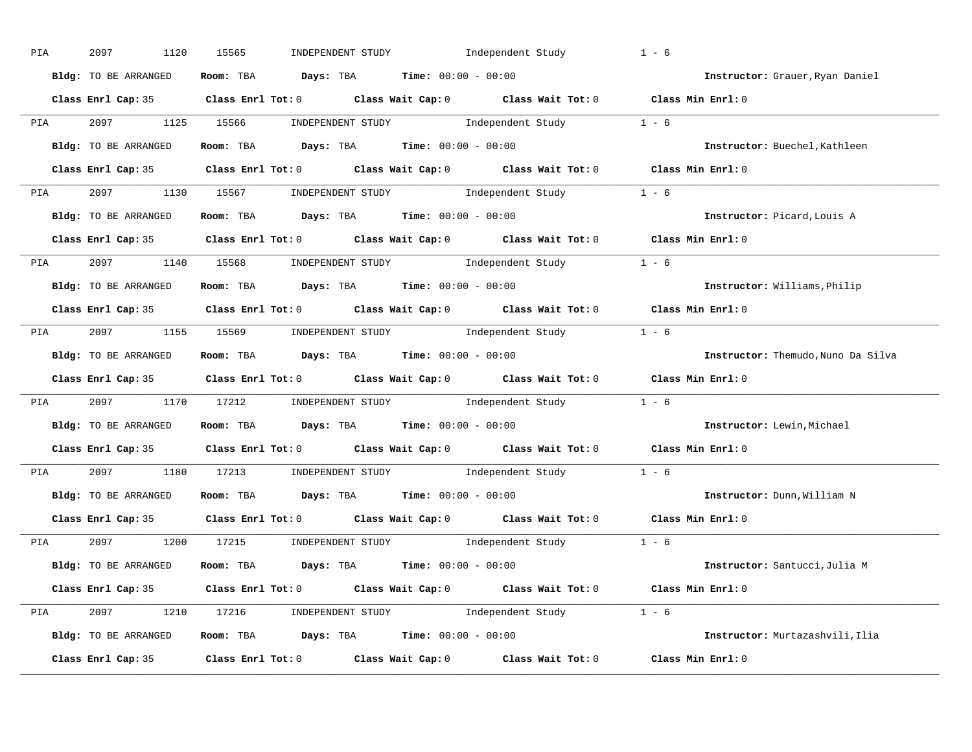| PIA        | 2097<br>1120         | INDEPENDENT STUDY 1ndependent Study<br>15565                                               | $1 - 6$                            |
|------------|----------------------|--------------------------------------------------------------------------------------------|------------------------------------|
|            | Bldg: TO BE ARRANGED | Room: TBA $Days:$ TBA $Time: 00:00 - 00:00$                                                | Instructor: Grauer, Ryan Daniel    |
|            |                      | Class Enrl Cap: 35 Class Enrl Tot: 0 Class Wait Cap: 0 Class Wait Tot: 0 Class Min Enrl: 0 |                                    |
|            |                      | PIA 2097 1125 15566 INDEPENDENT STUDY Independent Study 1 - 6                              |                                    |
|            | Bldg: TO BE ARRANGED | Room: TBA $Days:$ TBA $Time: 00:00 - 00:00$                                                | Instructor: Buechel, Kathleen      |
|            |                      | Class Enrl Cap: 35 Class Enrl Tot: 0 Class Wait Cap: 0 Class Wait Tot: 0 Class Min Enrl: 0 |                                    |
|            |                      | PIA 2097 1130 15567 INDEPENDENT STUDY Independent Study 1 - 6                              |                                    |
|            |                      | <b>Bldg:</b> TO BE ARRANGED <b>ROOM:</b> TBA <b>Days:</b> TBA <b>Time:</b> $00:00 - 00:00$ | Instructor: Picard, Louis A        |
|            |                      | Class Enrl Cap: 35 Class Enrl Tot: 0 Class Wait Cap: 0 Class Wait Tot: 0 Class Min Enrl: 0 |                                    |
|            |                      | PIA 2097 1140 15568 INDEPENDENT STUDY Independent Study 1 - 6                              |                                    |
|            | Bldg: TO BE ARRANGED | Room: TBA $Days:$ TBA $Time: 00:00 - 00:00$                                                | Instructor: Williams, Philip       |
|            |                      | Class Enrl Cap: 35 Class Enrl Tot: 0 Class Wait Cap: 0 Class Wait Tot: 0 Class Min Enrl: 0 |                                    |
|            |                      | PIA 2097 1155 15569 INDEPENDENT STUDY Independent Study 1 - 6                              |                                    |
|            | Bldg: TO BE ARRANGED | Room: TBA $Days:$ TBA $Time:$ $00:00 - 00:00$                                              | Instructor: Themudo, Nuno Da Silva |
|            |                      | Class Enrl Cap: 35 Class Enrl Tot: 0 Class Wait Cap: 0 Class Wait Tot: 0 Class Min Enrl: 0 |                                    |
| <b>PIA</b> |                      | 2097 1170 17212 INDEPENDENT STUDY Independent Study 1 - 6                                  |                                    |
|            | Bldg: TO BE ARRANGED | Room: TBA $Days:$ TBA $Time: 00:00 - 00:00$                                                | Instructor: Lewin, Michael         |
|            |                      | Class Enrl Cap: 35 Class Enrl Tot: 0 Class Wait Cap: 0 Class Wait Tot: 0 Class Min Enrl: 0 |                                    |
| PIA        |                      | 2097 1180 17213 INDEPENDENT STUDY Independent Study 1 - 6                                  |                                    |
|            |                      | Bldg: TO BE ARRANGED ROOM: TBA Days: TBA Time: 00:00 - 00:00                               | Instructor: Dunn, William N        |
|            | Class Enrl Cap: 35   | Class Enrl Tot: $0$ Class Wait Cap: $0$ Class Wait Tot: $0$                                | Class Min Enrl: 0                  |
|            |                      | PIA 2097 1200 17215 INDEPENDENT STUDY Independent Study 1 - 6                              |                                    |
|            | Bldg: TO BE ARRANGED | Room: TBA $\rule{1em}{0.15mm}$ Days: TBA Time: $00:00 - 00:00$                             | Instructor: Santucci, Julia M      |
|            |                      | Class Enrl Cap: 35 Class Enrl Tot: 0 Class Wait Cap: 0 Class Wait Tot: 0 Class Min Enrl: 0 |                                    |
|            |                      | PIA 2097 1210 17216 INDEPENDENT STUDY Independent Study 1 - 6                              |                                    |
|            | Bldg: TO BE ARRANGED | Room: TBA $Days:$ TBA $Time: 00:00 - 00:00$                                                | Instructor: Murtazashvili, Ilia    |
|            |                      | Class Enrl Cap: 35 Class Enrl Tot: 0 Class Wait Cap: 0 Class Wait Tot: 0 Class Min Enrl: 0 |                                    |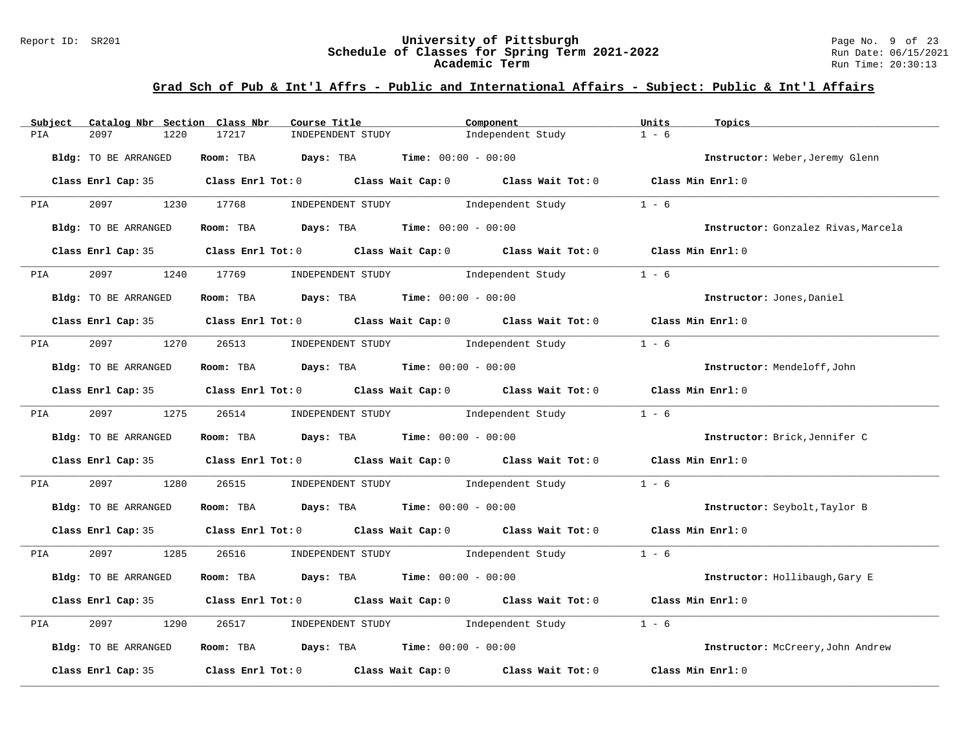#### Report ID: SR201 **University of Pittsburgh** Page No. 9 of 23 **Schedule of Classes for Spring Term 2021-2022** Run Date: 06/15/2021 **Academic Term** Run Time: 20:30:13

| Catalog Nbr Section Class Nbr<br>Subject | Course Title                                                                               | Component                                       | Units<br>Topics                     |
|------------------------------------------|--------------------------------------------------------------------------------------------|-------------------------------------------------|-------------------------------------|
| 2097<br>1220<br>PIA                      | 17217<br>INDEPENDENT STUDY                                                                 | Independent Study                               | $1 - 6$                             |
| Bldg: TO BE ARRANGED                     | Room: TBA $Days:$ TBA $Time: 00:00 - 00:00$                                                |                                                 | Instructor: Weber, Jeremy Glenn     |
|                                          | Class Enrl Cap: 35 Class Enrl Tot: 0 Class Wait Cap: 0 Class Wait Tot: 0 Class Min Enrl: 0 |                                                 |                                     |
| 2097 1230 17768<br><b>PIA</b>            | INDEPENDENT STUDY                                                                          | Independent Study                               | $1 - 6$                             |
| Bldg: TO BE ARRANGED                     | Room: TBA $Days:$ TBA $Time: 00:00 - 00:00$                                                |                                                 | Instructor: Gonzalez Rivas, Marcela |
|                                          | Class Enrl Cap: 35 Class Enrl Tot: 0 Class Wait Cap: 0 Class Wait Tot: 0 Class Min Enrl: 0 |                                                 |                                     |
| PIA 2097                                 | 1240 17769 INDEPENDENT STUDY 1ndependent Study                                             |                                                 | $1 - 6$                             |
| Bldg: TO BE ARRANGED                     | Room: TBA $Days:$ TBA $Time: 00:00 - 00:00$                                                |                                                 | Instructor: Jones, Daniel           |
|                                          | Class Enrl Cap: 35 Class Enrl Tot: 0 Class Wait Cap: 0 Class Wait Tot: 0 Class Min Enrl: 0 |                                                 |                                     |
|                                          | PIA 2097 1270 26513 INDEPENDENT STUDY Independent Study                                    |                                                 | $1 - 6$                             |
| Bldg: TO BE ARRANGED                     | Room: TBA $\rule{1em}{0.15mm}$ Days: TBA $\rule{1.5mm}{0.15mm}$ Time: $00:00 - 00:00$      |                                                 | Instructor: Mendeloff, John         |
|                                          | Class Enrl Cap: 35 Class Enrl Tot: 0 Class Wait Cap: 0 Class Wait Tot: 0 Class Min Enrl: 0 |                                                 |                                     |
|                                          | PIA 2097 1275 26514 INDEPENDENT STUDY Independent Study                                    |                                                 | $1 - 6$                             |
| Bldg: TO BE ARRANGED                     | Room: TBA $Days: TBA$ Time: $00:00 - 00:00$                                                |                                                 | Instructor: Brick, Jennifer C       |
|                                          | Class Enrl Cap: 35 Class Enrl Tot: 0 Class Wait Cap: 0 Class Wait Tot: 0 Class Min Enrl: 0 |                                                 |                                     |
| 2097<br>1280<br>PIA                      | 26515                                                                                      | INDEPENDENT STUDY 1ndependent Study             | $1 - 6$                             |
| Bldg: TO BE ARRANGED                     | <b>Room:</b> TBA <b>Days:</b> TBA <b>Time:</b> 00:00 - 00:00                               |                                                 | Instructor: Seybolt, Taylor B       |
|                                          | Class Enrl Cap: 35 Class Enrl Tot: 0 Class Wait Cap: 0 Class Wait Tot: 0 Class Min Enrl: 0 |                                                 |                                     |
| PIA 2097 1285                            |                                                                                            | 26516 INDEPENDENT STUDY Independent Study 1 - 6 |                                     |
| Bldg: TO BE ARRANGED                     | Room: TBA $Days:$ TBA $Time: 00:00 - 00:00$                                                |                                                 | Instructor: Hollibaugh, Gary E      |
|                                          | Class Enrl Cap: 35 Class Enrl Tot: 0 Class Wait Cap: 0 Class Wait Tot: 0 Class Min Enrl: 0 |                                                 |                                     |
| 2097<br>1290<br>PIA                      | 26517 INDEPENDENT STUDY Independent Study                                                  |                                                 | $1 - 6$                             |
| Bldg: TO BE ARRANGED                     | Room: TBA $Days:$ TBA $Time: 00:00 - 00:00$                                                |                                                 | Instructor: McCreery, John Andrew   |
| Class Enrl Cap: 35                       | Class Enrl Tot: $0$ Class Wait Cap: $0$ Class Wait Tot: $0$                                |                                                 | Class Min Enrl: 0                   |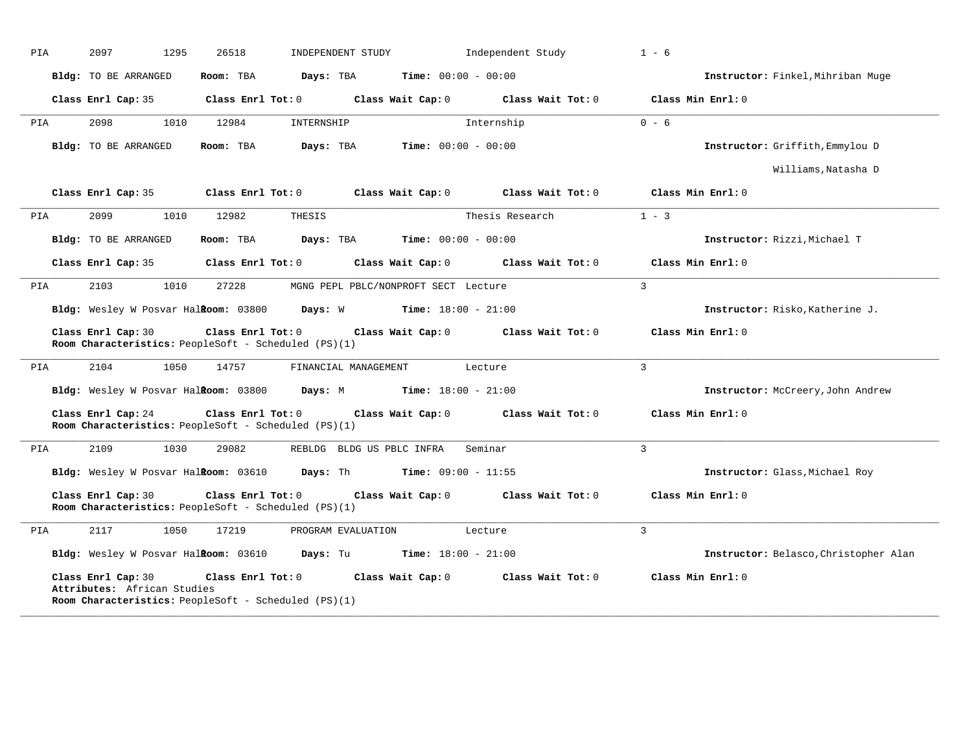|            | 2097<br>1295                                                               | 26518             | INDEPENDENT STUDY                    |                              | Independent Study | $1 - 6$                               |
|------------|----------------------------------------------------------------------------|-------------------|--------------------------------------|------------------------------|-------------------|---------------------------------------|
|            | <b>Bldg:</b> TO BE ARRANGED                                                | Room: TBA         | Days: TBA                            | <b>Time:</b> $00:00 - 00:00$ |                   | Instructor: Finkel, Mihriban Muge     |
|            | Class Enrl Cap: 35                                                         | Class Enrl Tot: 0 |                                      | Class Wait Cap: 0            | Class Wait Tot: 0 | Class Min Enrl: 0                     |
| PIA        | 2098<br>1010                                                               | 12984             | INTERNSHIP                           |                              | Internship        | $0 - 6$                               |
|            | <b>Bldg:</b> TO BE ARRANGED                                                | Room: TBA         | Days: TBA                            | <b>Time:</b> $00:00 - 00:00$ |                   | Instructor: Griffith, Emmylou D       |
|            |                                                                            |                   |                                      |                              |                   | Williams, Natasha D                   |
|            | Class Enrl Cap: 35                                                         | Class Enrl Tot: 0 |                                      | Class Wait Cap: 0            | Class Wait Tot: 0 | Class Min Enrl: 0                     |
| PIA        | 2099<br>1010                                                               | 12982             | THESIS                               |                              | Thesis Research   | $1 - 3$                               |
|            | Bldg: TO BE ARRANGED                                                       | Room: TBA         | Days: TBA                            | <b>Time:</b> $00:00 - 00:00$ |                   | Instructor: Rizzi, Michael T          |
|            | Class Enrl Cap: 35                                                         | Class Enrl Tot: 0 |                                      | Class Wait Cap: 0            | Class Wait Tot: 0 | Class Min Enrl: 0                     |
| PIA        | 1010<br>2103                                                               | 27228             | MGNG PEPL PBLC/NONPROFT SECT Lecture |                              |                   | $\mathbf{3}$                          |
|            | Bldg: Wesley W Posvar Halkoom: 03800                                       |                   | Days: W                              | <b>Time:</b> $18:00 - 21:00$ |                   | Instructor: Risko, Katherine J.       |
|            | Class Enrl Cap: 30<br>Room Characteristics: PeopleSoft - Scheduled (PS)(1) | Class Enrl Tot: 0 |                                      | Class Wait Cap: 0            | Class Wait Tot: 0 | Class Min Enrl: 0                     |
|            |                                                                            |                   |                                      |                              |                   |                                       |
|            | 2104<br>1050                                                               | 14757             | FINANCIAL MANAGEMENT                 |                              | Lecture           | $\mathbf{3}$                          |
| PIA        | Bldg: Wesley W Posvar Halkoom: 03800                                       |                   | Days: M                              | <b>Time:</b> $18:00 - 21:00$ |                   | Instructor: McCreery, John Andrew     |
|            | Class Enrl Cap: 24<br>Room Characteristics: PeopleSoft - Scheduled (PS)(1) | Class Enrl Tot: 0 |                                      | Class Wait Cap: 0            | Class Wait Tot: 0 | Class Min Enrl: 0                     |
|            | 2109<br>1030                                                               | 29082             | REBLDG BLDG US PBLC INFRA            |                              | Seminar           | $\overline{3}$                        |
|            | Bldg: Wesley W Posvar HalRoom: 03610                                       |                   | Days: Th                             | <b>Time:</b> $09:00 - 11:55$ |                   | Instructor: Glass, Michael Roy        |
|            | Class Enrl Cap: 30<br>Room Characteristics: PeopleSoft - Scheduled (PS)(1) | Class Enrl Tot: 0 |                                      | Class Wait Cap: 0            | Class Wait Tot: 0 | Class Min Enrl: 0                     |
|            | 2117<br>1050                                                               | 17219             | PROGRAM EVALUATION                   |                              | Lecture           | $\mathbf{3}$                          |
| PIA<br>PIA | Bldg: Wesley W Posvar HalRoom: 03610                                       |                   | Days: Tu                             | <b>Time:</b> $18:00 - 21:00$ |                   | Instructor: Belasco, Christopher Alan |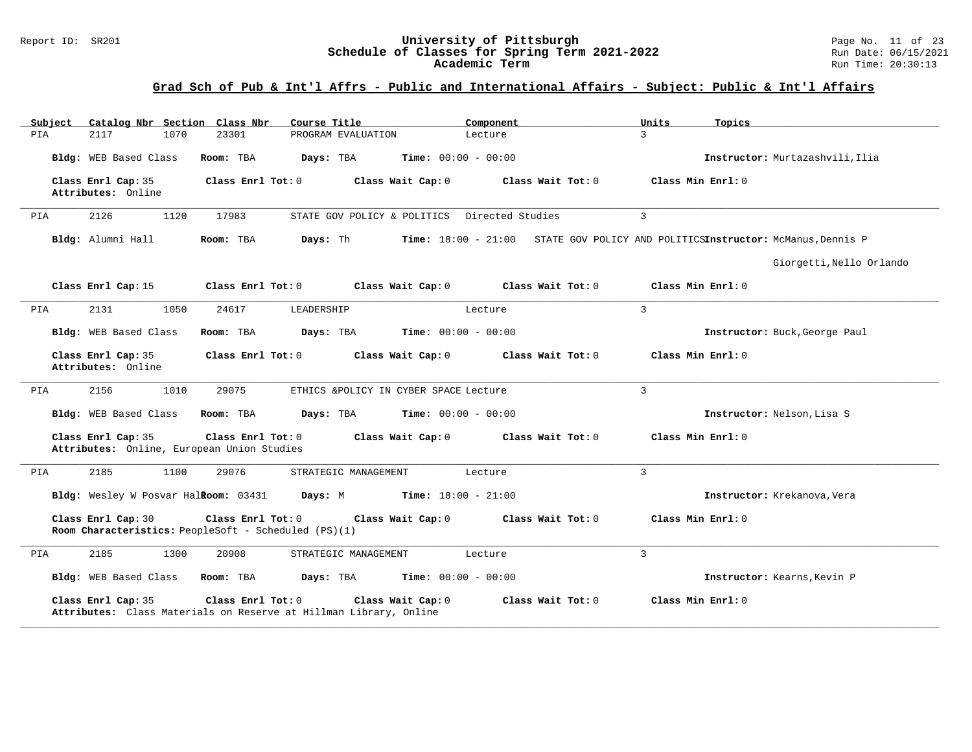#### Report ID: SR201 **University of Pittsburgh** Page No. 11 of 23 **Schedule of Classes for Spring Term 2021-2022** Run Date: 06/15/2021 **Academic Term** Run Time: 20:30:13

| Catalog Nbr Section Class Nbr<br>Subject                         | Course Title                                                                                                | Component                    | Topics<br>Units                                                                |
|------------------------------------------------------------------|-------------------------------------------------------------------------------------------------------------|------------------------------|--------------------------------------------------------------------------------|
| 2117<br>1070<br>PIA                                              | 23301<br>PROGRAM EVALUATION                                                                                 | Lecture                      | $\overline{3}$                                                                 |
| Bldg: WEB Based Class                                            | Room: TBA<br>Days: TBA                                                                                      | <b>Time:</b> $00:00 - 00:00$ | Instructor: Murtazashvili, Ilia                                                |
| Class Enrl Cap: 35<br>Attributes: Online                         | Class Enrl Tot: 0<br>Class Wait Cap: 0                                                                      | Class Wait Tot: 0            | Class Min Enrl: 0                                                              |
| 2126<br>1120<br>PIA                                              | 17983<br>STATE GOV POLICY & POLITICS Directed Studies                                                       |                              | 3                                                                              |
| Bldg: Alumni Hall                                                | Days: Th<br>Room: TBA                                                                                       |                              | Time: 18:00 - 21:00 STATE GOV POLICY AND POLITICSInstructor: McManus, Dennis P |
|                                                                  |                                                                                                             |                              | Giorgetti, Nello Orlando                                                       |
| Class Enrl Cap: 15                                               | Class Enrl Tot: 0<br>Class Wait Cap: 0                                                                      | Class Wait Tot: 0            | Class Min Enrl: 0                                                              |
| 2131<br>1050<br>PIA                                              | 24617<br>LEADERSHIP                                                                                         | Lecture                      | 3                                                                              |
| Bldg: WEB Based Class                                            | Room: TBA<br>Days: TBA                                                                                      | <b>Time:</b> $00:00 - 00:00$ | Instructor: Buck, George Paul                                                  |
| Class Enrl Cap: 35<br>Attributes: Online                         | Class Enrl Tot: $0$<br>Class Wait Cap: 0                                                                    | Class Wait Tot: 0            | Class Min Enrl: 0                                                              |
| 2156<br>1010<br>PIA                                              | 29075<br>ETHICS &POLICY IN CYBER SPACE Lecture                                                              |                              | 3                                                                              |
| Bldg: WEB Based Class                                            | Room: TBA<br>Days: TBA                                                                                      | <b>Time:</b> $00:00 - 00:00$ | Instructor: Nelson, Lisa S                                                     |
| Class Enrl Cap: 35<br>Attributes: Online, European Union Studies | Class Enrl Tot: 0<br>Class Wait Cap: 0                                                                      | Class Wait Tot: 0            | Class Min Enrl: 0                                                              |
| PIA<br>2185<br>1100                                              | 29076<br>STRATEGIC MANAGEMENT                                                                               | Lecture                      | 3                                                                              |
| Bldg: Wesley W Posvar Halkoom: 03431                             | Days: M                                                                                                     | <b>Time:</b> $18:00 - 21:00$ | Instructor: Krekanova, Vera                                                    |
| Class Enrl Cap: 30                                               | Class Enrl Tot: 0<br>Class Wait Cap: 0<br>Room Characteristics: PeopleSoft - Scheduled (PS)(1)              | Class Wait Tot: 0            | Class Min Enrl: 0                                                              |
| 2185<br>1300<br>PIA                                              | 20908<br>STRATEGIC MANAGEMENT                                                                               | Lecture                      | 3                                                                              |
| Bldg: WEB Based Class                                            | Room: TBA<br>Days: TBA                                                                                      | <b>Time:</b> $00:00 - 00:00$ | Instructor: Kearns, Kevin P                                                    |
| Class Enrl Cap: 35                                               | Class Enrl Tot: 0<br>Class Wait Cap: 0<br>Attributes: Class Materials on Reserve at Hillman Library, Online | Class Wait Tot: 0            | Class Min Enrl: 0                                                              |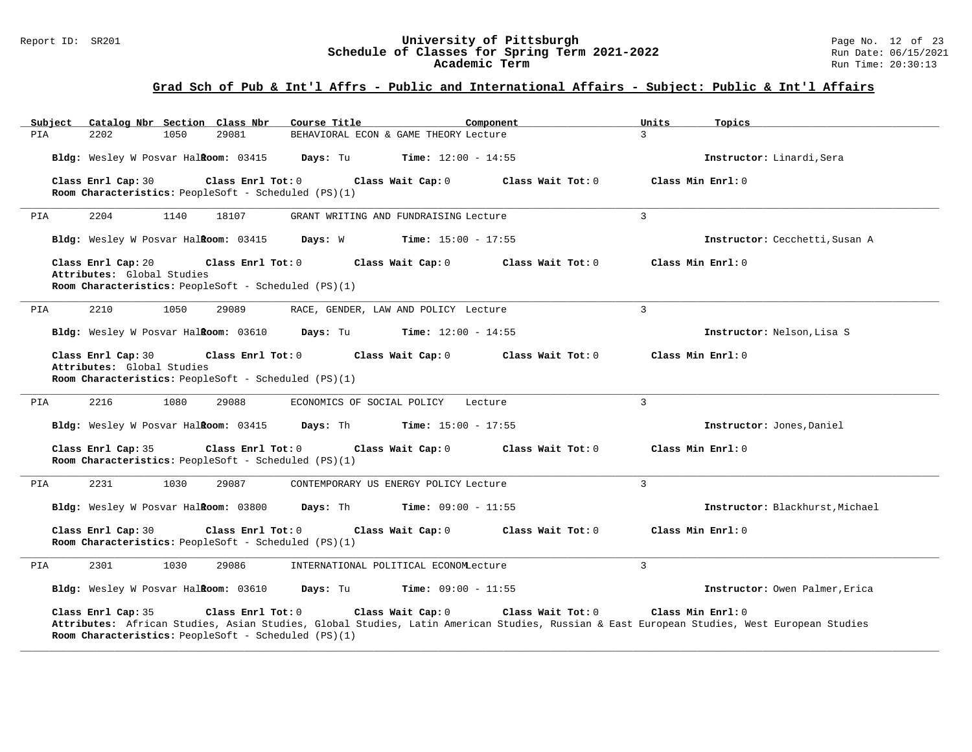#### Report ID: SR201 **University of Pittsburgh** Page No. 12 of 23 **Schedule of Classes for Spring Term 2021-2022** Run Date: 06/15/2021 **Academic Term** Run Time: 20:30:13

| Subject<br>Catalog Nbr Section Class Nbr                                                                                      | Course Title<br>Component                                                                                                                                                            | Units<br>Topics                 |
|-------------------------------------------------------------------------------------------------------------------------------|--------------------------------------------------------------------------------------------------------------------------------------------------------------------------------------|---------------------------------|
| 2202<br>1050<br>29081<br>PIA                                                                                                  | BEHAVIORAL ECON & GAME THEORY Lecture                                                                                                                                                | $\mathcal{L}$                   |
| Bldg: Wesley W Posvar Halkoom: 03415                                                                                          | <b>Time:</b> $12:00 - 14:55$<br>Days: Tu                                                                                                                                             | Instructor: Linardi, Sera       |
| Class Enrl Cap: 30<br>Class Enrl Tot: 0<br>Room Characteristics: PeopleSoft - Scheduled (PS)(1)                               | Class Wait Cap: 0<br>Class Wait Tot: 0                                                                                                                                               | Class Min Enrl: 0               |
| 2204<br>1140<br>18107<br>PIA                                                                                                  | GRANT WRITING AND FUNDRAISING Lecture                                                                                                                                                | $\overline{3}$                  |
| Bldg: Wesley W Posvar Halkoom: 03415                                                                                          | Days: W<br><b>Time:</b> $15:00 - 17:55$                                                                                                                                              | Instructor: Cecchetti, Susan A  |
| Class Enrl Cap: 20<br>Class Enrl Tot: 0<br>Attributes: Global Studies<br>Room Characteristics: PeopleSoft - Scheduled (PS)(1) | Class Wait Cap: 0<br>Class Wait Tot: 0                                                                                                                                               | Class Min Enrl: 0               |
| 2210<br>1050<br>PIA<br>29089                                                                                                  | RACE, GENDER, LAW AND POLICY Lecture                                                                                                                                                 | $\mathbf{3}$                    |
| Bldg: Wesley W Posvar Halkoom: 03610                                                                                          | Days: Tu<br><b>Time:</b> $12:00 - 14:55$                                                                                                                                             | Instructor: Nelson, Lisa S      |
| Class Enrl Cap: 30<br>Class Enrl Tot: 0<br>Attributes: Global Studies<br>Room Characteristics: PeopleSoft - Scheduled (PS)(1) | Class Wait Cap: 0<br>Class Wait Tot: 0                                                                                                                                               | Class Min Enrl: 0               |
| 2216<br>1080<br>29088<br>PIA                                                                                                  | ECONOMICS OF SOCIAL POLICY<br>Lecture                                                                                                                                                | $\overline{3}$                  |
| Bldg: Wesley W Posvar Halkoom: 03415                                                                                          | Days: Th<br><b>Time:</b> $15:00 - 17:55$                                                                                                                                             | Instructor: Jones, Daniel       |
| Class Enrl Cap: 35<br>Class Enrl Tot: 0<br>Room Characteristics: PeopleSoft - Scheduled (PS)(1)                               | Class Wait Cap: 0<br>Class Wait Tot: 0                                                                                                                                               | Class Min Enrl: 0               |
| 2231<br>1030<br>29087<br>PIA                                                                                                  | CONTEMPORARY US ENERGY POLICY Lecture                                                                                                                                                | 3                               |
| Bldg: Wesley W Posvar HalRoom: 03800                                                                                          | Days: Th<br><b>Time:</b> $09:00 - 11:55$                                                                                                                                             | Instructor: Blackhurst, Michael |
| Class Enrl Cap: 30<br>Class Enrl Tot: 0<br>Room Characteristics: PeopleSoft - Scheduled (PS)(1)                               | Class Wait Cap: 0<br>Class Wait Tot: 0                                                                                                                                               | Class Min Enrl: 0               |
| 2301<br>1030<br>29086<br>PIA                                                                                                  | INTERNATIONAL POLITICAL ECONOMLecture                                                                                                                                                | 3                               |
| Bldg: Wesley W Posvar Halkoom: 03610 Days: Tu                                                                                 | $Time: 09:00 - 11:55$                                                                                                                                                                | Instructor: Owen Palmer, Erica  |
| Class Enrl Cap: 35<br>Class Enrl Tot: 0<br>Room Characteristics: PeopleSoft - Scheduled (PS)(1)                               | Class Wait Cap: 0<br>Class Wait Tot: 0<br>Attributes: African Studies, Asian Studies, Global Studies, Latin American Studies, Russian & East European Studies, West European Studies | Class Min Enrl: 0               |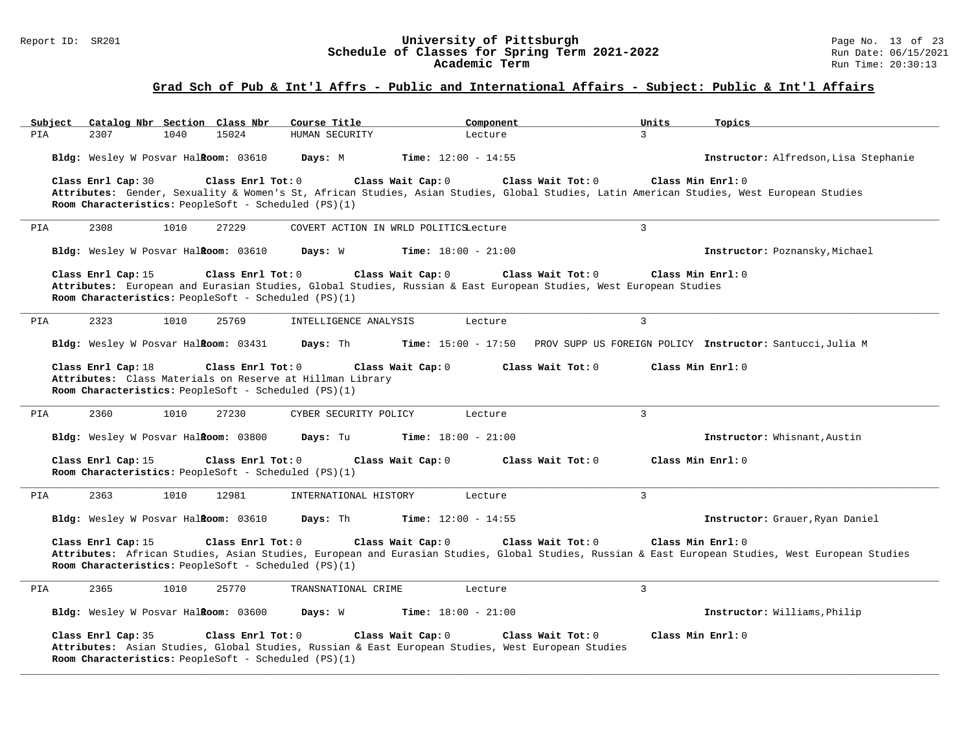#### Report ID: SR201 **University of Pittsburgh** Page No. 13 of 23 **Schedule of Classes for Spring Term 2021-2022** Run Date: 06/15/2021 **Academic Term** Run Time: 20:30:13

# **Grad Sch of Pub & Int'l Affrs - Public and International Affairs - Subject: Public & Int'l Affairs**

| Catalog Nbr Section Class Nbr<br>Subject                                                                                                                                                                                                             | Course Title                          | Component                                                                     | Units             | Topics                                |
|------------------------------------------------------------------------------------------------------------------------------------------------------------------------------------------------------------------------------------------------------|---------------------------------------|-------------------------------------------------------------------------------|-------------------|---------------------------------------|
| 15024<br>PIA<br>2307<br>1040                                                                                                                                                                                                                         | HUMAN SECURITY                        | Lecture                                                                       | 3                 |                                       |
| Bldg: Wesley W Posvar Halkoom: 03610                                                                                                                                                                                                                 | Days: M                               | <b>Time:</b> $12:00 - 14:55$                                                  |                   | Instructor: Alfredson, Lisa Stephanie |
| Class Enrl Cap: 30<br>Class Enrl Tot: 0<br>Attributes: Gender, Sexuality & Women's St, African Studies, Asian Studies, Global Studies, Latin American Studies, West European Studies<br>Room Characteristics: PeopleSoft - Scheduled (PS)(1)         | Class Wait Cap: 0                     | Class Wait Tot: 0                                                             | Class Min Enrl: 0 |                                       |
| PIA<br>2308<br>1010<br>27229                                                                                                                                                                                                                         | COVERT ACTION IN WRLD POLITICSLecture |                                                                               | $\overline{3}$    |                                       |
| Bldg: Wesley W Posvar HalRoom: 03610                                                                                                                                                                                                                 | Days: W                               | <b>Time:</b> $18:00 - 21:00$                                                  |                   | Instructor: Poznansky, Michael        |
| Class Enrl Cap: 15<br>Class Enrl Tot: 0<br>Attributes: European and Eurasian Studies, Global Studies, Russian & East European Studies, West European Studies<br>Room Characteristics: PeopleSoft - Scheduled (PS)(1)                                 | Class Wait Cap: 0                     | Class Wait Tot: 0                                                             | Class Min Enrl: 0 |                                       |
| PIA<br>2323<br>1010<br>25769                                                                                                                                                                                                                         | INTELLIGENCE ANALYSIS                 | Lecture                                                                       | $\overline{3}$    |                                       |
| Bldg: Wesley W Posvar Halkoom: 03431                                                                                                                                                                                                                 | Days: Th                              | Time: 15:00 - 17:50 PROV SUPP US FOREIGN POLICY Instructor: Santucci, Julia M |                   |                                       |
| Class Enrl Cap: 18<br>Class Enrl Tot: 0<br>Attributes: Class Materials on Reserve at Hillman Library<br>Room Characteristics: PeopleSoft - Scheduled (PS)(1)                                                                                         | Class Wait Cap: 0                     | Class Wait Tot: 0                                                             | Class Min Enrl: 0 |                                       |
| 2360<br>1010<br>27230<br>PIA                                                                                                                                                                                                                         | CYBER SECURITY POLICY                 | Lecture                                                                       | $\mathbf{3}$      |                                       |
| Bldg: Wesley W Posvar Halkoom: 03800                                                                                                                                                                                                                 | Days: Tu                              | <b>Time:</b> $18:00 - 21:00$                                                  |                   | Instructor: Whisnant, Austin          |
| Class Enrl Cap: 15<br>Class Enrl Tot: 0<br>Room Characteristics: PeopleSoft - Scheduled (PS)(1)                                                                                                                                                      | Class Wait Cap: 0                     | Class Wait Tot: 0                                                             | Class Min Enrl: 0 |                                       |
| 2363<br>1010<br>12981<br>PIA                                                                                                                                                                                                                         | INTERNATIONAL HISTORY                 | Lecture                                                                       | $\overline{3}$    |                                       |
| Bldg: Wesley W Posvar Halkoom: 03610                                                                                                                                                                                                                 | Days: Th                              | <b>Time:</b> $12:00 - 14:55$                                                  |                   | Instructor: Grauer, Ryan Daniel       |
| Class Enrl Cap: 15<br>Class Enrl Tot: 0<br>Attributes: African Studies, Asian Studies, European and Eurasian Studies, Global Studies, Russian & East European Studies, West European Studies<br>Room Characteristics: PeopleSoft - Scheduled (PS)(1) | Class Wait Cap: 0                     | Class Wait Tot: 0                                                             | Class Min Enrl: 0 |                                       |
| 2365<br>1010<br>25770<br>PIA                                                                                                                                                                                                                         | TRANSNATIONAL CRIME                   | Lecture                                                                       | $\overline{3}$    |                                       |
| Bldg: Wesley W Posvar Halkoom: 03600                                                                                                                                                                                                                 | Days: W                               | <b>Time:</b> $18:00 - 21:00$                                                  |                   | Instructor: Williams, Philip          |
| Class Enrl Cap: 35<br>Class Enrl Tot: 0<br>Attributes: Asian Studies, Global Studies, Russian & East European Studies, West European Studies<br>Room Characteristics: PeopleSoft - Scheduled (PS)(1)                                                 | Class Wait Cap: 0                     | Class Wait Tot: 0                                                             | Class Min Enrl: 0 |                                       |

**\_\_\_\_\_\_\_\_\_\_\_\_\_\_\_\_\_\_\_\_\_\_\_\_\_\_\_\_\_\_\_\_\_\_\_\_\_\_\_\_\_\_\_\_\_\_\_\_\_\_\_\_\_\_\_\_\_\_\_\_\_\_\_\_\_\_\_\_\_\_\_\_\_\_\_\_\_\_\_\_\_\_\_\_\_\_\_\_\_\_\_\_\_\_\_\_\_\_\_\_\_\_\_\_\_\_\_\_\_\_\_\_\_\_\_\_\_\_\_\_\_\_\_\_\_\_\_\_\_\_\_\_\_\_\_\_\_\_\_\_\_\_\_\_\_\_\_\_\_\_\_\_\_\_\_\_**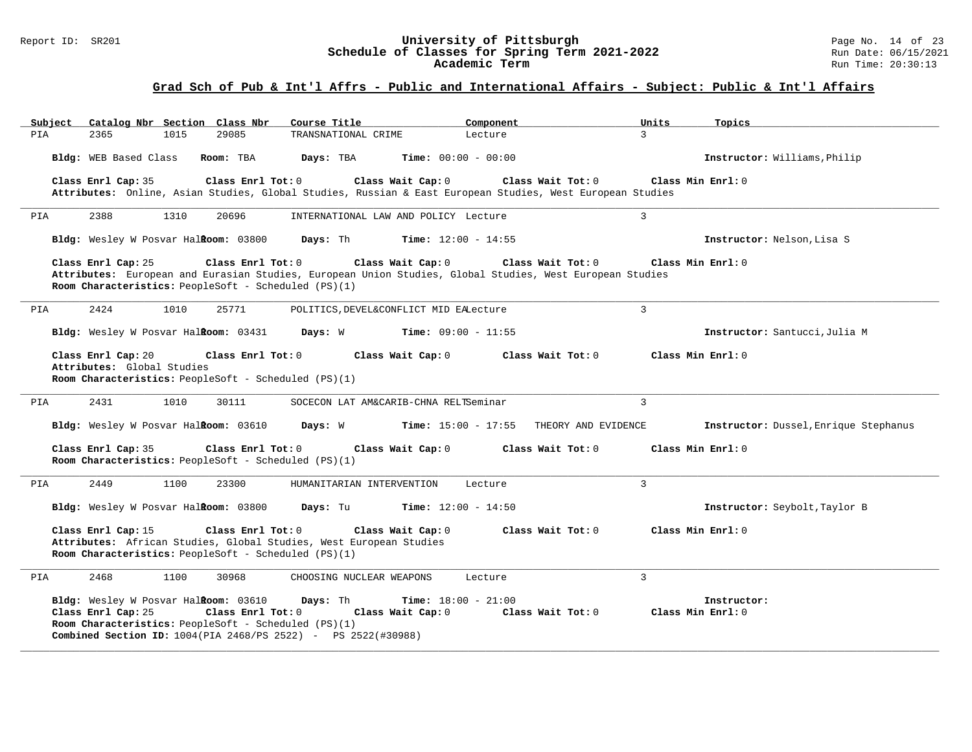#### Report ID: SR201 **University of Pittsburgh** Page No. 14 of 23 **Schedule of Classes for Spring Term 2021-2022** Run Date: 06/15/2021 **Academic Term** Run Time: 20:30:13

| Subject | Catalog Nbr Section Class Nbr                                                                                      |      |                   | Course Title                                                                                                                   | Component                    |                     | Units             | Topics                                |
|---------|--------------------------------------------------------------------------------------------------------------------|------|-------------------|--------------------------------------------------------------------------------------------------------------------------------|------------------------------|---------------------|-------------------|---------------------------------------|
| PIA     | 2365                                                                                                               | 1015 | 29085             | TRANSNATIONAL CRIME                                                                                                            | Lecture                      |                     | $\mathcal{L}$     |                                       |
|         | Bldg: WEB Based Class                                                                                              |      | Room: TBA         | Days: TBA                                                                                                                      | <b>Time:</b> $00:00 - 00:00$ |                     |                   | Instructor: Williams, Philip          |
|         | Class Enrl Cap: 35                                                                                                 |      | Class Enrl Tot: 0 | Class Wait Cap: 0<br>Attributes: Online, Asian Studies, Global Studies, Russian & East European Studies, West European Studies |                              | Class Wait Tot: 0   | Class Min Enrl: 0 |                                       |
| PIA     | 2388                                                                                                               | 1310 | 20696             | INTERNATIONAL LAW AND POLICY Lecture                                                                                           |                              | 3                   |                   |                                       |
|         | Bldg: Wesley W Posvar Halkoom: 03800                                                                               |      |                   | Days: Th                                                                                                                       | <b>Time:</b> $12:00 - 14:55$ |                     |                   | Instructor: Nelson, Lisa S            |
|         | Class Enrl Cap: 25<br>Room Characteristics: PeopleSoft - Scheduled (PS)(1)                                         |      | Class Enrl Tot: 0 | Class Wait Cap: 0<br>Attributes: European and Eurasian Studies, European Union Studies, Global Studies, West European Studies  |                              | Class Wait Tot: 0   | Class Min Enrl: 0 |                                       |
| PIA     | 2424                                                                                                               | 1010 | 25771             | POLITICS, DEVEL&CONFLICT MID EALecture                                                                                         |                              | 3                   |                   |                                       |
|         | Bldg: Wesley W Posvar Halkoom: 03431                                                                               |      |                   | Days: W                                                                                                                        | <b>Time:</b> $09:00 - 11:55$ |                     |                   | Instructor: Santucci, Julia M         |
|         | Class Enrl Cap: 20<br>Attributes: Global Studies<br>Room Characteristics: PeopleSoft - Scheduled (PS)(1)           |      | Class Enrl Tot: 0 | Class Wait Cap: 0                                                                                                              |                              | Class Wait Tot: 0   | Class Min Enrl: 0 |                                       |
| PIA     | 2431                                                                                                               | 1010 | 30111             | SOCECON LAT AM&CARIB-CHNA RELTSeminar                                                                                          |                              | $\overline{3}$      |                   |                                       |
|         | Bldg: Wesley W Posvar Halkoom: 03610                                                                               |      |                   | Days: W                                                                                                                        | <b>Time:</b> $15:00 - 17:55$ | THEORY AND EVIDENCE |                   | Instructor: Dussel, Enrique Stephanus |
|         | Class Enrl Cap: 35<br>Room Characteristics: PeopleSoft - Scheduled (PS)(1)                                         |      | Class Enrl Tot: 0 | Class Wait Cap: 0                                                                                                              |                              | Class Wait Tot: 0   | Class Min Enrl: 0 |                                       |
| PIA     | 2449                                                                                                               | 1100 | 23300             | HUMANITARIAN INTERVENTION                                                                                                      | Lecture                      | 3                   |                   |                                       |
|         | Bldg: Wesley W Posvar Halkoom: 03800                                                                               |      |                   | Days: Tu                                                                                                                       | <b>Time:</b> $12:00 - 14:50$ |                     |                   | Instructor: Seybolt, Taylor B         |
|         | Class Enrl Cap: 15<br>Room Characteristics: PeopleSoft - Scheduled (PS)(1)                                         |      | Class Enrl Tot: 0 | Class Wait Cap: 0<br>Attributes: African Studies, Global Studies, West European Studies                                        |                              | Class Wait Tot: 0   | Class Min Enrl: 0 |                                       |
| PIA     | 2468                                                                                                               | 1100 | 30968             | CHOOSING NUCLEAR WEAPONS                                                                                                       | Lecture                      | 3                   |                   |                                       |
|         | Bldg: Wesley W Posvar Halkoom: 03610<br>Class Enrl Cap: 25<br>Room Characteristics: PeopleSoft - Scheduled (PS)(1) |      | Class Enrl Tot: 0 | Days: Th<br>Class Wait Cap: 0<br><b>Combined Section ID:</b> 1004(PIA 2468/PS 2522) - PS 2522(#30988)                          | <b>Time:</b> $18:00 - 21:00$ | Class Wait Tot: 0   | Class Min Enrl: 0 | Instructor:                           |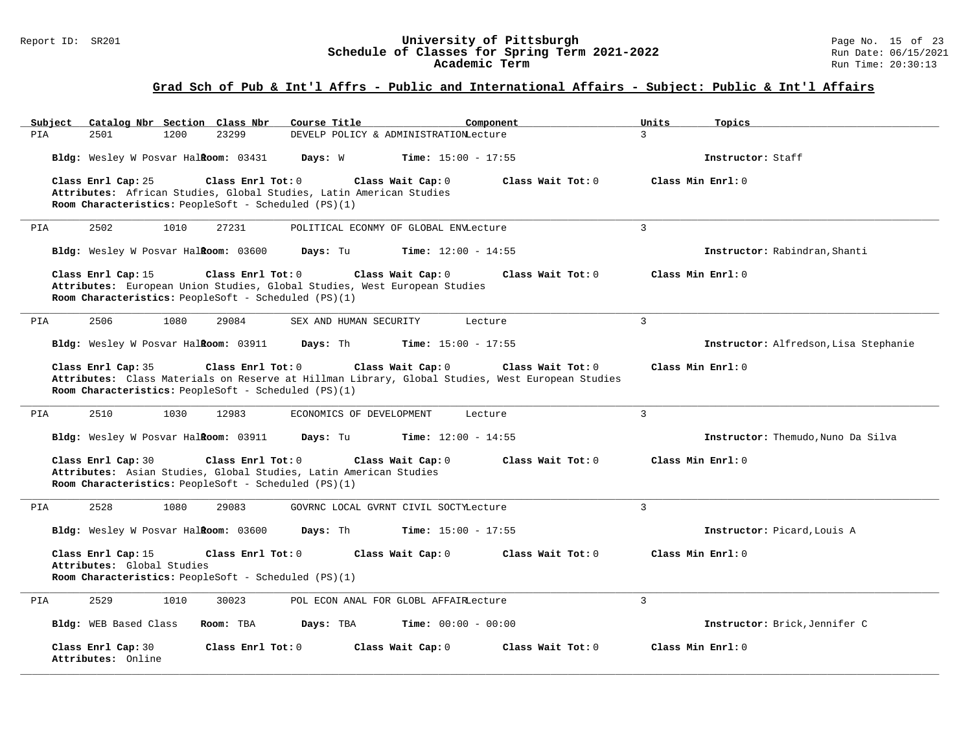#### Report ID: SR201 **University of Pittsburgh** Page No. 15 of 23 **Schedule of Classes for Spring Term 2021-2022** Run Date: 06/15/2021 **Academic Term** Run Time: 20:30:13

| Catalog Nbr Section Class Nbr<br>Subiect                                                                                                                                     | Course Title<br>Component                                                                        | Units<br>Topics                       |
|------------------------------------------------------------------------------------------------------------------------------------------------------------------------------|--------------------------------------------------------------------------------------------------|---------------------------------------|
| 2501<br>1200<br>23299<br>PIA                                                                                                                                                 | DEVELP POLICY & ADMINISTRATIONLecture                                                            | $\mathbf{R}$                          |
| Bldg: Wesley W Posvar HalRoom: 03431                                                                                                                                         | Days: W<br><b>Time:</b> $15:00 - 17:55$                                                          | Instructor: Staff                     |
| Class Enrl Cap: 25<br>Class Enrl Tot: 0                                                                                                                                      | Class Wait Cap: 0<br>Class Wait Tot: 0                                                           | Class Min Enrl: 0                     |
| Attributes: African Studies, Global Studies, Latin American Studies<br>Room Characteristics: PeopleSoft - Scheduled (PS)(1)                                                  |                                                                                                  |                                       |
|                                                                                                                                                                              |                                                                                                  |                                       |
| 2502<br>PIA<br>1010<br>27231                                                                                                                                                 | POLITICAL ECONMY OF GLOBAL ENVLecture                                                            | 3                                     |
| Bldg: Wesley W Posvar Halkoom: 03600                                                                                                                                         | Days: Tu<br>Time: $12:00 - 14:55$                                                                | Instructor: Rabindran, Shanti         |
| Class Enrl Tot: 0<br>Class Enrl Cap: 15<br>Attributes: European Union Studies, Global Studies, West European Studies<br>Room Characteristics: PeopleSoft - Scheduled (PS)(1) | Class Wait Cap: 0<br>Class Wait $Tot: 0$                                                         | Class Min Enrl: 0                     |
| 2506<br>1080<br>29084<br>PIA                                                                                                                                                 | SEX AND HUMAN SECURITY<br>Lecture                                                                | 3                                     |
| Bldg: Wesley W Posvar Halkoom: 03911                                                                                                                                         | Days: Th<br>Time: $15:00 - 17:55$                                                                | Instructor: Alfredson, Lisa Stephanie |
| Class Enrl Cap: 35<br>Class Enrl Tot: 0                                                                                                                                      | Class Wait Cap: 0<br>Class Wait Tot: 0                                                           | Class Min Enrl: 0                     |
|                                                                                                                                                                              | Attributes: Class Materials on Reserve at Hillman Library, Global Studies, West European Studies |                                       |
| Room Characteristics: PeopleSoft - Scheduled (PS)(1)                                                                                                                         |                                                                                                  |                                       |
| 2510<br>1030<br>12983<br>PIA                                                                                                                                                 | ECONOMICS OF DEVELOPMENT<br>Lecture                                                              | 3                                     |
| Bldg: Wesley W Posvar HalRoom: 03911                                                                                                                                         | Days: Tu<br><b>Time:</b> $12:00 - 14:55$                                                         | Instructor: Themudo, Nuno Da Silva    |
| Class Enrl Cap: 30<br>Class Enrl Tot: 0                                                                                                                                      | Class Wait Cap: 0<br>Class Wait Tot: 0                                                           | Class Min Enrl: 0                     |
| Attributes: Asian Studies, Global Studies, Latin American Studies                                                                                                            |                                                                                                  |                                       |
| Room Characteristics: PeopleSoft - Scheduled (PS)(1)                                                                                                                         |                                                                                                  |                                       |
| 2528<br>1080<br>29083<br>PIA                                                                                                                                                 | GOVRNC LOCAL GVRNT CIVIL SOCTYLecture                                                            | 3                                     |
| Bldg: Wesley W Posvar HalRoom: 03600                                                                                                                                         | Days: Th<br><b>Time:</b> $15:00 - 17:55$                                                         | Instructor: Picard, Louis A           |
| Class Enrl Cap: 15<br>Class Enrl Tot: 0                                                                                                                                      | Class Wait Cap: 0<br>Class Wait Tot: 0                                                           | Class Min Enrl: 0                     |
| Attributes: Global Studies                                                                                                                                                   |                                                                                                  |                                       |
| Room Characteristics: PeopleSoft - Scheduled (PS)(1)                                                                                                                         |                                                                                                  |                                       |
| 2529<br>1010<br>PIA<br>30023                                                                                                                                                 | POL ECON ANAL FOR GLOBL AFFAIRLecture                                                            | $\mathbf{R}$                          |
| Bldg: WEB Based Class<br>Room: TBA                                                                                                                                           | <b>Time:</b> $00:00 - 00:00$<br>Days: TBA                                                        | Instructor: Brick, Jennifer C         |
| Class Enrl Cap: 30<br>Class Enrl Tot: $0$<br>Attributes: Online                                                                                                              | Class Wait Cap: 0<br>Class Wait Tot: 0                                                           | Class Min Enrl: 0                     |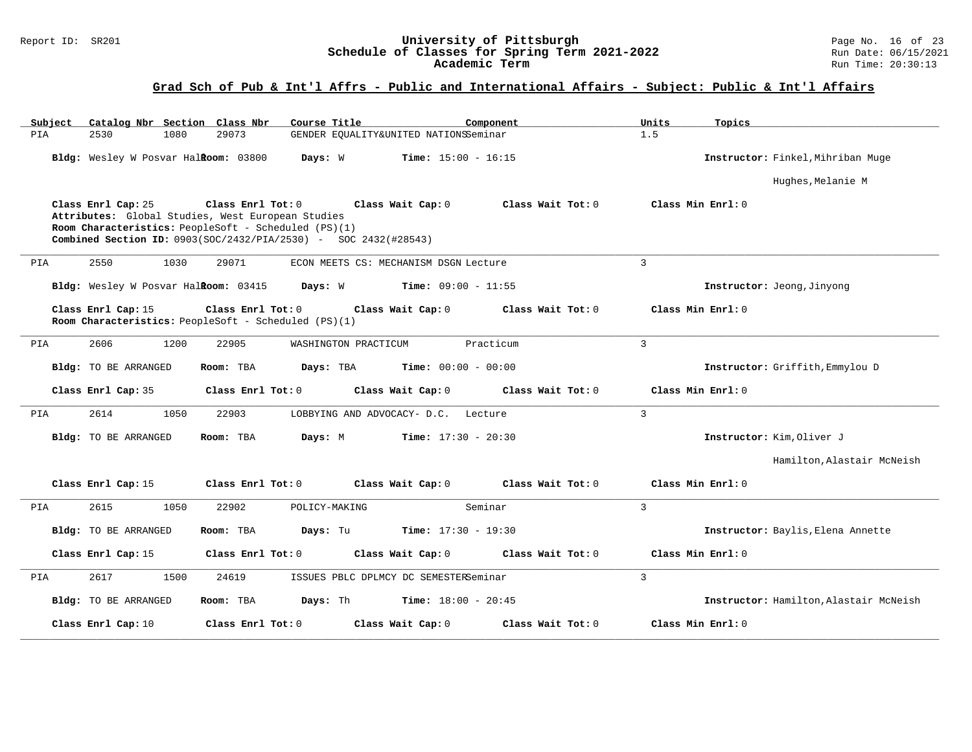#### Report ID: SR201 **University of Pittsburgh** Page No. 16 of 23 **Schedule of Classes for Spring Term 2021-2022** Run Date: 06/15/2021 **Academic Term** Run Time: 20:30:13

| Catalog Nbr Section Class Nbr<br>Subject                                                                                        | Course Title                                                                                           | Component<br>Units          | Topics                                 |
|---------------------------------------------------------------------------------------------------------------------------------|--------------------------------------------------------------------------------------------------------|-----------------------------|----------------------------------------|
| 29073<br>PIA<br>2530<br>1080                                                                                                    | GENDER EQUALITY&UNITED NATIONSSeminar                                                                  | 1.5                         |                                        |
| Bldg: Wesley W Posvar Halkoom: 03800                                                                                            | Days: W<br><b>Time:</b> $15:00 - 16:15$                                                                |                             | Instructor: Finkel, Mihriban Muge      |
|                                                                                                                                 |                                                                                                        |                             | Hughes, Melanie M                      |
| Class Enrl Cap: 25<br>Attributes: Global Studies, West European Studies<br>Room Characteristics: PeopleSoft - Scheduled (PS)(1) | Class Enrl Tot: 0 Class Wait Cap: 0<br>Combined Section ID: 0903(SOC/2432/PIA/2530) - SOC 2432(#28543) | Class Wait Tot: 0           | Class Min Enrl: 0                      |
| 2550<br>1030<br>29071<br>PIA                                                                                                    | ECON MEETS CS: MECHANISM DSGN Lecture                                                                  | $\mathbf{3}$                |                                        |
| Bldg: Wesley W Posvar HalRoom: 03415                                                                                            | <b>Time:</b> $09:00 - 11:55$<br>Days: W                                                                |                             | Instructor: Jeong, Jinyong             |
| Class Enrl Cap: 15<br>Room Characteristics: PeopleSoft - Scheduled (PS)(1)                                                      | Class Enrl Tot: 0<br>Class Wait Cap: 0                                                                 | Class Wait Tot: 0           | Class Min Enrl: 0                      |
| 2606<br>1200<br>22905<br>PIA                                                                                                    | WASHINGTON PRACTICUM                                                                                   | $\overline{3}$<br>Practicum |                                        |
| Bldg: TO BE ARRANGED<br>Room: TBA                                                                                               | Days: TBA<br><b>Time:</b> $00:00 - 00:00$                                                              |                             | Instructor: Griffith, Emmylou D        |
| Class Enrl Cap: 35                                                                                                              | Class Enrl Tot: 0<br>Class Wait Cap: 0                                                                 | Class Wait Tot: 0           | Class Min Enrl: 0                      |
| 2614<br>1050<br>22903<br>PIA                                                                                                    | LOBBYING AND ADVOCACY- D.C. Lecture                                                                    | $\overline{3}$              |                                        |
| Bldg: TO BE ARRANGED<br>Room: TBA                                                                                               | Days: M<br><b>Time:</b> $17:30 - 20:30$                                                                |                             | Instructor: Kim, Oliver J              |
|                                                                                                                                 |                                                                                                        |                             | Hamilton, Alastair McNeish             |
| Class Enrl Cap: 15                                                                                                              | Class Enrl Tot: 0<br>Class Wait Cap: 0                                                                 | Class Wait Tot: 0           | Class Min Enrl: 0                      |
| 2615<br>1050<br>22902<br>PIA                                                                                                    | Seminar<br>POLICY-MAKING                                                                               | $\overline{3}$              |                                        |
| <b>Bldg:</b> TO BE ARRANGED<br>Room: TBA                                                                                        | Days: Tu<br><b>Time:</b> $17:30 - 19:30$                                                               |                             | Instructor: Baylis, Elena Annette      |
| Class Enrl Cap: 15                                                                                                              | Class Enrl Tot: 0<br>Class Wait Cap: 0                                                                 | Class Wait Tot: 0           | Class Min Enrl: 0                      |
| 2617<br>1500<br>24619<br>PIA                                                                                                    | ISSUES PBLC DPLMCY DC SEMESTERSeminar                                                                  | $\overline{3}$              |                                        |
| Bldg: TO BE ARRANGED<br>Room: TBA                                                                                               | Days: Th<br><b>Time:</b> $18:00 - 20:45$                                                               |                             | Instructor: Hamilton, Alastair McNeish |
| Class Enrl Cap: 10                                                                                                              | Class Enrl Tot: 0<br>Class Wait Cap: 0                                                                 | Class Wait Tot: 0           | Class Min Enrl: 0                      |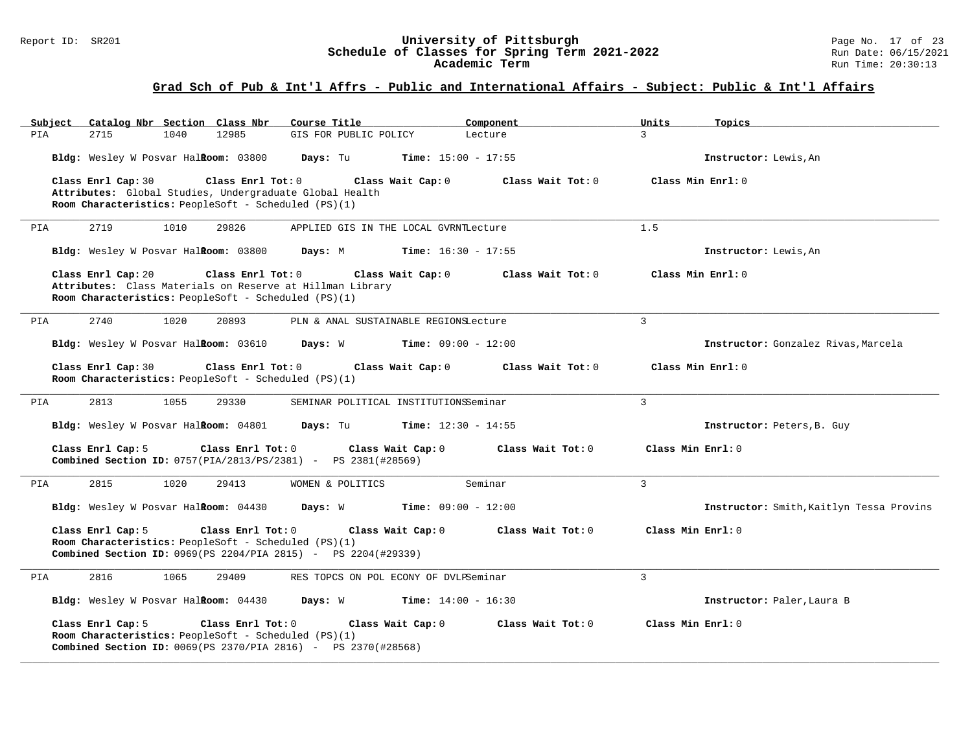#### Report ID: SR201 **University of Pittsburgh** Page No. 17 of 23 **Schedule of Classes for Spring Term 2021-2022** Run Date: 06/15/2021 **Academic Term** Run Time: 20:30:13

| Catalog Nbr Section Class Nbr<br>Subject                                                                                                                               | Course Title                          | Component                    | Units             | Topics                                   |
|------------------------------------------------------------------------------------------------------------------------------------------------------------------------|---------------------------------------|------------------------------|-------------------|------------------------------------------|
| 2715<br>1040<br>12985<br>PIA                                                                                                                                           | GIS FOR PUBLIC POLICY                 | Lecture                      | $\mathcal{L}$     |                                          |
| Bldg: Wesley W Posvar Halkoom: 03800                                                                                                                                   | Days: Tu                              | <b>Time:</b> $15:00 - 17:55$ |                   | Instructor: Lewis, An                    |
| Class Enrl Cap: 30<br>Class Enrl Tot: 0<br>Attributes: Global Studies, Undergraduate Global Health<br>Room Characteristics: PeopleSoft - Scheduled (PS)(1)             | Class Wait Cap: 0                     | Class Wait Tot: 0            | Class Min Enrl: 0 |                                          |
| 2719<br>1010<br>29826<br>PIA                                                                                                                                           | APPLIED GIS IN THE LOCAL GVRNTLecture |                              | 1.5               |                                          |
| Bldg: Wesley W Posvar Halkoom: 03800                                                                                                                                   | Days: M                               | <b>Time:</b> $16:30 - 17:55$ |                   | Instructor: Lewis, An                    |
| Class Enrl Cap: 20<br>Class Enrl Tot: 0<br>Attributes: Class Materials on Reserve at Hillman Library<br>Room Characteristics: PeopleSoft - Scheduled (PS)(1)           | Class Wait Cap: 0                     | Class Wait Tot: $0$          | Class Min Enrl: 0 |                                          |
| 2740<br>1020<br>20893<br>PIA                                                                                                                                           | PLN & ANAL SUSTAINABLE REGIONSLecture |                              | $\overline{3}$    |                                          |
| Bldg: Wesley W Posvar Halkoom: 03610                                                                                                                                   | Days: W                               | <b>Time:</b> $09:00 - 12:00$ |                   | Instructor: Gonzalez Rivas, Marcela      |
| Class Enrl Cap: 30<br>Class Enrl Tot: 0<br>Room Characteristics: PeopleSoft - Scheduled (PS)(1)                                                                        | Class Wait Cap: 0                     | Class Wait Tot: 0            | Class Min Enrl: 0 |                                          |
| 2813<br>1055<br>29330<br>PIA                                                                                                                                           | SEMINAR POLITICAL INSTITUTIONSSeminar |                              | 3                 |                                          |
| Bldg: Wesley W Posvar Halkoom: 04801                                                                                                                                   | Days: Tu                              | <b>Time:</b> $12:30 - 14:55$ |                   | Instructor: Peters, B. Guy               |
| Class Enrl Cap: 5<br>Class Enrl Tot: 0<br><b>Combined Section ID:</b> 0757(PIA/2813/PS/2381) - PS 2381(#28569)                                                         | Class Wait Cap: 0                     | Class Wait Tot: 0            | Class Min Enrl: 0 |                                          |
| 2815<br>1020<br>29413<br>PIA                                                                                                                                           | WOMEN & POLITICS                      | Seminar                      | 3                 |                                          |
| Bldg: Wesley W Posvar Halkoom: 04430                                                                                                                                   | Days: W                               | <b>Time:</b> $09:00 - 12:00$ |                   | Instructor: Smith, Kaitlyn Tessa Provins |
| Class Enrl Cap: 5<br>Class Enrl Tot: 0<br>Room Characteristics: PeopleSoft - Scheduled (PS)(1)<br><b>Combined Section ID:</b> 0969(PS 2204/PIA 2815) - PS 2204(#29339) | Class Wait Cap: 0                     | Class Wait Tot: 0            | Class Min Enrl: 0 |                                          |
| 2816<br>1065<br>29409<br>PIA                                                                                                                                           | RES TOPCS ON POL ECONY OF DVLPSeminar |                              | 3                 |                                          |
| Bldg: Wesley W Posvar Halkoom: 04430                                                                                                                                   | $Time: 14:00 - 16:30$<br>Days: W      |                              |                   | Instructor: Paler, Laura B               |
| Class Enrl Cap: 5<br>Class Enrl Tot: 0<br>Room Characteristics: PeopleSoft - Scheduled (PS)(1)<br><b>Combined Section ID:</b> 0069(PS 2370/PIA 2816) - PS 2370(#28568) | Class Wait Cap: 0                     | Class Wait Tot: 0            | Class Min Enrl: 0 |                                          |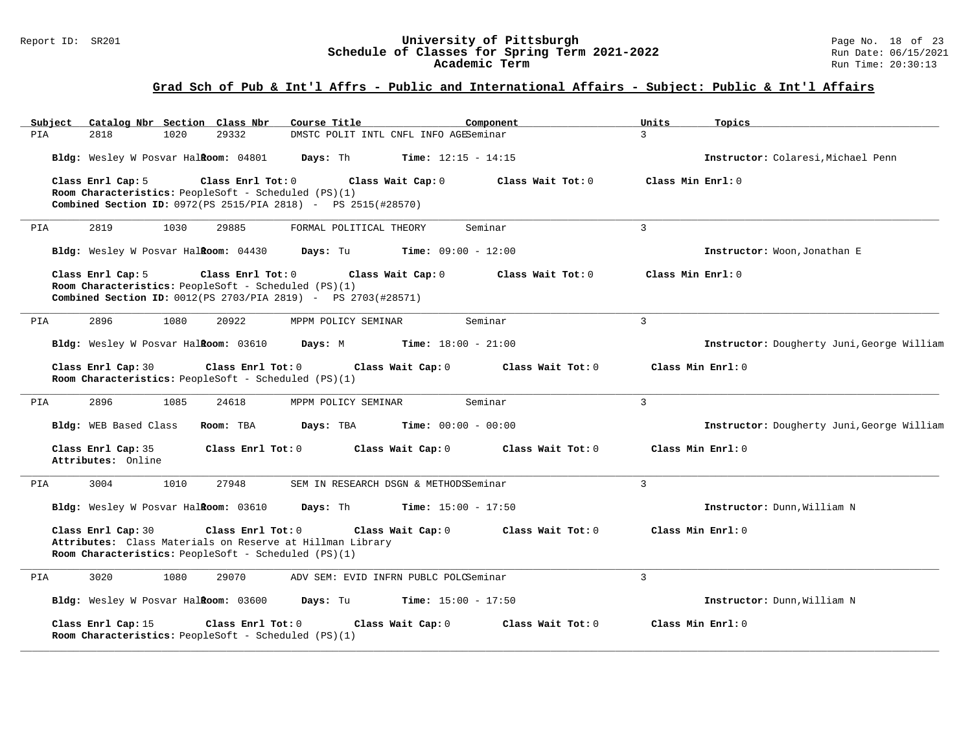#### Report ID: SR201 **University of Pittsburgh** Page No. 18 of 23 **Schedule of Classes for Spring Term 2021-2022** Run Date: 06/15/2021 **Academic Term** Run Time: 20:30:13

| Subject<br>Catalog Nbr Section Class Nbr                                                                                                                               | Course Title<br>Component                    | Units<br>Topics                            |
|------------------------------------------------------------------------------------------------------------------------------------------------------------------------|----------------------------------------------|--------------------------------------------|
| 2818<br>1020<br>29332<br>PIA                                                                                                                                           | DMSTC POLIT INTL CNFL INFO AGESeminar        | 3                                          |
| Bldg: Wesley W Posvar Halkoom: 04801                                                                                                                                   | Days: Th<br><b>Time:</b> $12:15 - 14:15$     | Instructor: Colaresi, Michael Penn         |
| Class Enrl Cap: 5<br>Class Enrl Tot: 0<br>Room Characteristics: PeopleSoft - Scheduled (PS)(1)<br><b>Combined Section ID:</b> 0972(PS 2515/PIA 2818) - PS 2515(#28570) | Class Wait Tot: 0<br>Class Wait Cap: 0       | Class Min Enrl: 0                          |
| 2819<br>1030<br>29885<br>PIA                                                                                                                                           | Seminar<br>FORMAL POLITICAL THEORY           | $\mathbf{3}$                               |
| Bldg: Wesley W Posvar Halkoom: 04430                                                                                                                                   | <b>Days:</b> Tu <b>Time:</b> $09:00 - 12:00$ | Instructor: Woon, Jonathan E               |
| Class Enrl Cap: 5<br>Class Enrl Tot: 0<br>Room Characteristics: PeopleSoft - Scheduled (PS)(1)<br><b>Combined Section ID:</b> 0012(PS 2703/PIA 2819) - PS 2703(#28571) | Class Wait Cap: 0<br>Class Wait Tot: 0       | Class Min Enrl: 0                          |
| 2896<br>1080<br>20922<br>PIA                                                                                                                                           | Seminar<br>MPPM POLICY SEMINAR               | $\overline{3}$                             |
| Bldg: Wesley W Posvar Halkoom: 03610                                                                                                                                   | Days: M<br>$Time: 18:00 - 21:00$             | Instructor: Dougherty Juni, George William |
| Class Enrl Cap: 30<br>Class Enrl Tot: 0<br>Room Characteristics: PeopleSoft - Scheduled (PS)(1)                                                                        | Class Wait Tot: 0<br>Class Wait Cap: 0       | Class Min Enrl: 0                          |
| 2896<br>1085<br>24618<br>PIA                                                                                                                                           | Seminar<br>MPPM POLICY SEMINAR               | $\overline{3}$                             |
| Bldg: WEB Based Class<br>Room: TBA                                                                                                                                     | Days: TBA<br><b>Time:</b> $00:00 - 00:00$    | Instructor: Dougherty Juni, George William |
| Class Enrl Cap: 35<br>Class Enrl Tot: 0<br>Attributes: Online                                                                                                          | Class Wait Cap: 0<br>Class Wait Tot: 0       | Class Min Enrl: 0                          |
| 3004<br>1010<br>27948<br>PIA                                                                                                                                           | SEM IN RESEARCH DSGN & METHODSSeminar        | $\mathbf{3}$                               |
| Bldg: Wesley W Posvar Halkoom: 03610                                                                                                                                   | Days: Th<br><b>Time:</b> $15:00 - 17:50$     | Instructor: Dunn, William N                |
| Class Enrl Cap: 30<br>Class Enrl Tot: 0<br>Attributes: Class Materials on Reserve at Hillman Library<br>Room Characteristics: PeopleSoft - Scheduled (PS)(1)           | Class Wait Cap: 0<br>Class Wait Tot: 0       | Class Min Enrl: 0                          |
| 3020<br>1080<br>29070<br>PIA                                                                                                                                           | ADV SEM: EVID INFRN PUBLC POLCSeminar        | $\overline{3}$                             |
| Bldg: Wesley W Posvar Halkoom: 03600                                                                                                                                   | <b>Days:</b> Tu <b>Time:</b> $15:00 - 17:50$ | Instructor: Dunn, William N                |
| Class Enrl Cap: 15<br>Class Enrl Tot: 0<br>Room Characteristics: PeopleSoft - Scheduled (PS)(1)                                                                        | Class Wait Cap: 0<br>Class Wait Tot: 0       | Class Min Enrl: 0                          |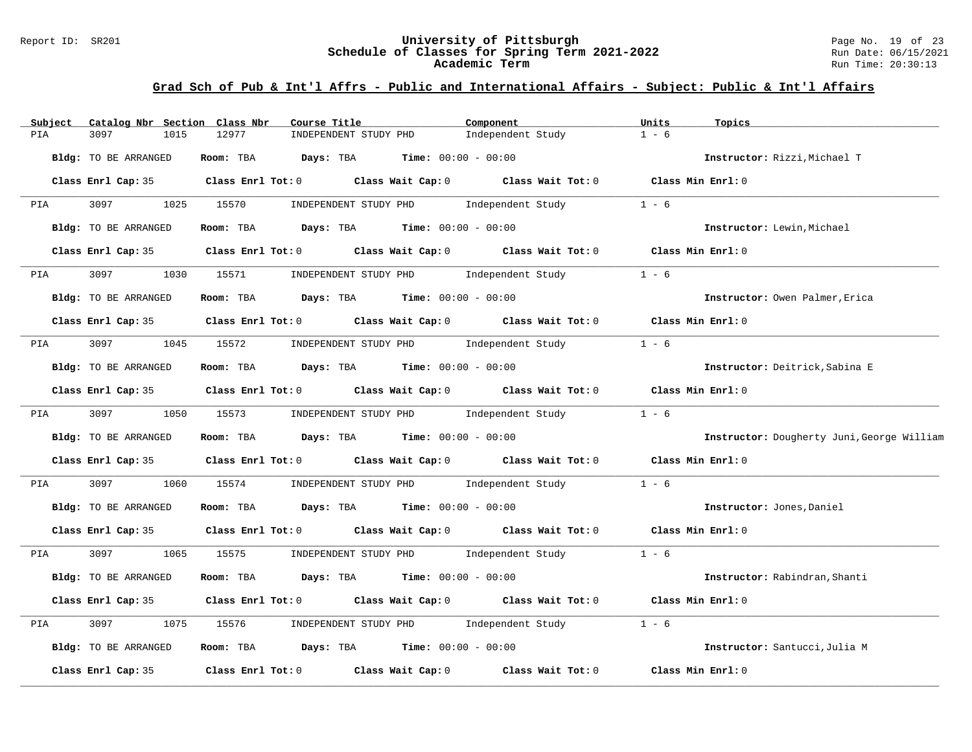#### Report ID: SR201 **University of Pittsburgh** Page No. 19 of 23 **Schedule of Classes for Spring Term 2021-2022** Run Date: 06/15/2021 **Academic Term** Run Time: 20:30:13

| Catalog Nbr Section Class Nbr<br>Subject | Course Title                                                                               | Component                               | Units<br>Topics                            |
|------------------------------------------|--------------------------------------------------------------------------------------------|-----------------------------------------|--------------------------------------------|
| PIA<br>3097<br>1015                      | 12977<br>INDEPENDENT STUDY PHD                                                             | Independent Study                       | $1 - 6$                                    |
| Bldg: TO BE ARRANGED                     | <b>Room:</b> TBA <b>Days:</b> TBA <b>Time:</b> 00:00 - 00:00                               |                                         | Instructor: Rizzi, Michael T               |
|                                          | Class Enrl Cap: 35 Class Enrl Tot: 0 Class Wait Cap: 0 Class Wait Tot: 0 Class Min Enrl: 0 |                                         |                                            |
| PIA<br>3097 300                          | 1025 15570                                                                                 | INDEPENDENT STUDY PHD Independent Study | $1 - 6$                                    |
| Bldg: TO BE ARRANGED                     | Room: TBA $Days: TBA$ Time: $00:00 - 00:00$                                                |                                         | Instructor: Lewin, Michael                 |
|                                          | Class Enrl Cap: 35 Class Enrl Tot: 0 Class Wait Cap: 0 Class Wait Tot: 0 Class Min Enrl: 0 |                                         |                                            |
| 3097<br><b>PIA</b>                       | 1030 15571                                                                                 | INDEPENDENT STUDY PHD 1ndependent Study | $1 - 6$                                    |
| Bldg: TO BE ARRANGED                     | Room: TBA $Days:$ TBA $Time: 00:00 - 00:00$                                                |                                         | Instructor: Owen Palmer, Erica             |
|                                          | Class Enrl Cap: 35 Class Enrl Tot: 0 Class Wait Cap: 0 Class Wait Tot: 0 Class Min Enrl: 0 |                                         |                                            |
| PIA                                      | 3097 1045 15572 INDEPENDENT STUDY PHD Independent Study                                    |                                         | $1 - 6$                                    |
| Bldg: TO BE ARRANGED                     | Room: TBA $\rule{1em}{0.15mm}$ Days: TBA Time: $00:00 - 00:00$                             |                                         | Instructor: Deitrick, Sabina E             |
|                                          | Class Enrl Cap: 35 Class Enrl Tot: 0 Class Wait Cap: 0 Class Wait Tot: 0                   |                                         | Class Min $Enr1:0$                         |
| 3097<br><b>PIA</b>                       | 1050 15573                                                                                 | INDEPENDENT STUDY PHD 1ndependent Study | $1 - 6$                                    |
| Bldg: TO BE ARRANGED                     | Room: TBA $\rule{1em}{0.15mm}$ Days: TBA Time: $00:00 - 00:00$                             |                                         | Instructor: Dougherty Juni, George William |
|                                          | Class Enrl Cap: 35 Class Enrl Tot: 0 Class Wait Cap: 0 Class Wait Tot: 0 Class Min Enrl: 0 |                                         |                                            |
| 3097<br>PIA<br>1060                      | 15574                                                                                      | INDEPENDENT STUDY PHD Independent Study | $1 - 6$                                    |
| Bldg: TO BE ARRANGED                     | Room: TBA $\rule{1em}{0.15mm}$ Days: TBA $\rule{1.5mm}{0.15mm}$ Time: $00:00 - 00:00$      |                                         | Instructor: Jones, Daniel                  |
|                                          | Class Enrl Cap: 35 Class Enrl Tot: 0 Class Wait Cap: 0 Class Wait Tot: 0 Class Min Enrl: 0 |                                         |                                            |
| 3097 300<br>PIA                          | 1065 15575                                                                                 | INDEPENDENT STUDY PHD 1ndependent Study | $1 - 6$                                    |
| Bldg: TO BE ARRANGED                     | Room: TBA $Days:$ TBA $Time: 00:00 - 00:00$                                                |                                         | Instructor: Rabindran, Shanti              |
|                                          | Class Enrl Cap: 35 Class Enrl Tot: 0 Class Wait Cap: 0 Class Wait Tot: 0                   |                                         | Class Min Enrl: 0                          |
| 3097<br>1075<br>PIA                      | INDEPENDENT STUDY PHD Independent Study<br>15576                                           |                                         | $1 - 6$                                    |
| Bldg: TO BE ARRANGED                     | Room: TBA $Days: TBA$ Time: $00:00 - 00:00$                                                |                                         | Instructor: Santucci, Julia M              |
| Class Enrl Cap: 35                       | Class Enrl Tot: $0$ Class Wait Cap: $0$ Class Wait Tot: $0$                                |                                         | Class Min Enrl: 0                          |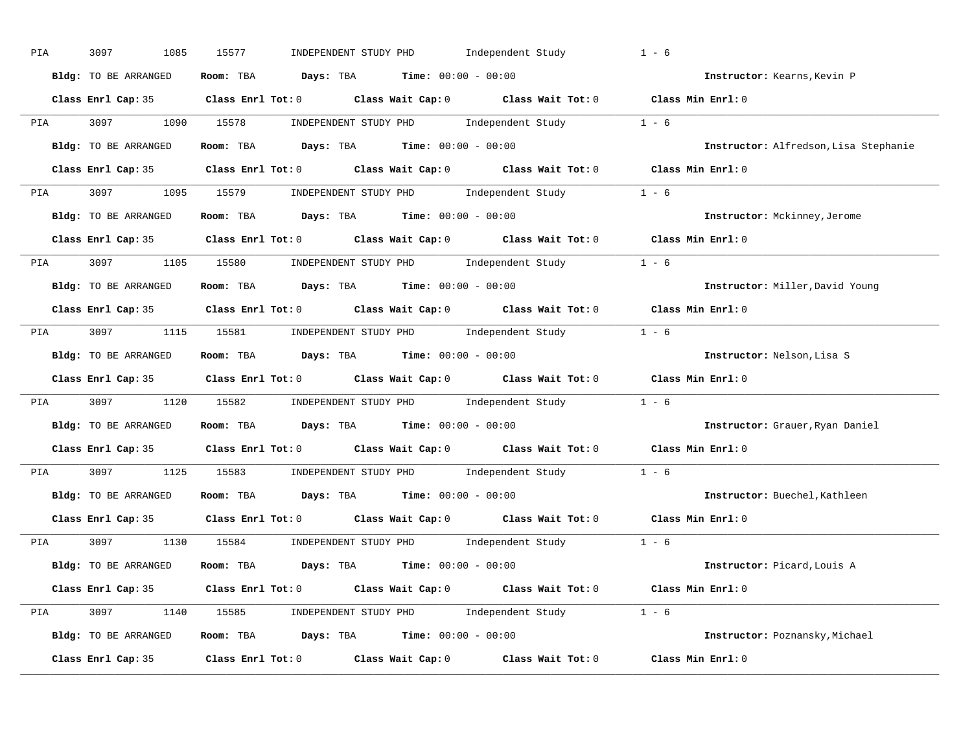| PIA        | 3097<br>1085         | 15577<br>INDEPENDENT STUDY PHD Independent Study                                                    | $1 - 6$                               |
|------------|----------------------|-----------------------------------------------------------------------------------------------------|---------------------------------------|
|            | Bldg: TO BE ARRANGED | Room: TBA $Days:$ TBA $Time: 00:00 - 00:00$                                                         | Instructor: Kearns, Kevin P           |
|            |                      | Class Enrl Cap: 35 Class Enrl Tot: 0 Class Wait Cap: 0 Class Wait Tot: 0 Class Min Enrl: 0          |                                       |
|            |                      | PIA 3097 1090 15578 INDEPENDENT STUDY PHD Independent Study 1 - 6                                   |                                       |
|            | Bldg: TO BE ARRANGED | Room: TBA $\rule{1em}{0.15mm}$ Days: TBA Time: $00:00 - 00:00$                                      | Instructor: Alfredson, Lisa Stephanie |
|            |                      | Class Enrl Cap: 35 Class Enrl Tot: 0 Class Wait Cap: 0 Class Wait Tot: 0 Class Min Enrl: 0          |                                       |
|            |                      | PIA 3097 1095 15579 INDEPENDENT STUDY PHD Independent Study 1 - 6                                   |                                       |
|            | Bldg: TO BE ARRANGED | Room: TBA $Days:$ TBA $Time:$ 00:00 - 00:00                                                         | Instructor: Mckinney, Jerome          |
|            |                      | Class Enrl Cap: 35 Class Enrl Tot: 0 Class Wait Cap: 0 Class Wait Tot: 0 Class Min Enrl: 0          |                                       |
|            |                      | PIA 3097 1105 15580 INDEPENDENT STUDY PHD Independent Study 1 - 6                                   |                                       |
|            | Bldg: TO BE ARRANGED | Room: TBA $\rule{1em}{0.15mm}$ Days: TBA $\rule{1.5mm}{0.15mm}$ Time: $00:00 - 00:00$               | Instructor: Miller, David Young       |
|            |                      | Class Enrl Cap: 35 Class Enrl Tot: 0 Class Wait Cap: 0 Class Wait Tot: 0 Class Min Enrl: 0          |                                       |
|            |                      | PIA 3097 1115 15581 INDEPENDENT STUDY PHD Independent Study 1 - 6                                   |                                       |
|            | Bldg: TO BE ARRANGED | Room: TBA $\rule{1em}{0.15mm}$ Days: TBA $\rule{1.5mm}{0.15mm}$ Time: $00:00 - 00:00$               | Instructor: Nelson, Lisa S            |
|            |                      | Class Enrl Cap: 35 Class Enrl Tot: 0 Class Wait Cap: 0 Class Wait Tot: 0 Class Min Enrl: 0          |                                       |
| <b>PIA</b> |                      | 3097 1120 15582 INDEPENDENT STUDY PHD Independent Study 1 - 6                                       |                                       |
|            | Bldg: TO BE ARRANGED | Room: TBA $Days:$ TBA Time: $00:00 - 00:00$                                                         | Instructor: Grauer, Ryan Daniel       |
|            |                      | Class Enrl Cap: 35 $\qquad$ Class Enrl Tot: 0 $\qquad$ Class Wait Cap: 0 $\qquad$ Class Wait Tot: 0 | Class Min Enrl: 0                     |
| PIA        |                      | 3097 1125 15583 INDEPENDENT STUDY PHD Independent Study 1 - 6                                       |                                       |
|            | Bldg: TO BE ARRANGED | Room: TBA $\rule{1em}{0.15mm}$ Days: TBA $\rule{1.5mm}{0.15mm}$ Time: $00:00 - 00:00$               | Instructor: Buechel, Kathleen         |
|            |                      | Class Enrl Cap: 35 Class Enrl Tot: 0 Class Wait Cap: 0 Class Wait Tot: 0                            | Class Min Enrl: 0                     |
|            |                      | PIA 3097 1130 15584 INDEPENDENT STUDY PHD Independent Study 1 - 6                                   |                                       |
|            | Bldg: TO BE ARRANGED | Room: TBA $Days: TBA$ Time: $00:00 - 00:00$                                                         | Instructor: Picard, Louis A           |
|            |                      | Class Enrl Cap: 35 Class Enrl Tot: 0 Class Wait Cap: 0 Class Wait Tot: 0 Class Min Enrl: 0          |                                       |
|            |                      | PIA 3097 1140 15585 INDEPENDENT STUDY PHD Independent Study 1 - 6                                   |                                       |
|            | Bldg: TO BE ARRANGED | Room: TBA $Days:$ TBA $Time: 00:00 - 00:00$                                                         | Instructor: Poznansky, Michael        |
|            |                      | Class Enrl Cap: 35 Class Enrl Tot: 0 Class Wait Cap: 0 Class Wait Tot: 0 Class Min Enrl: 0          |                                       |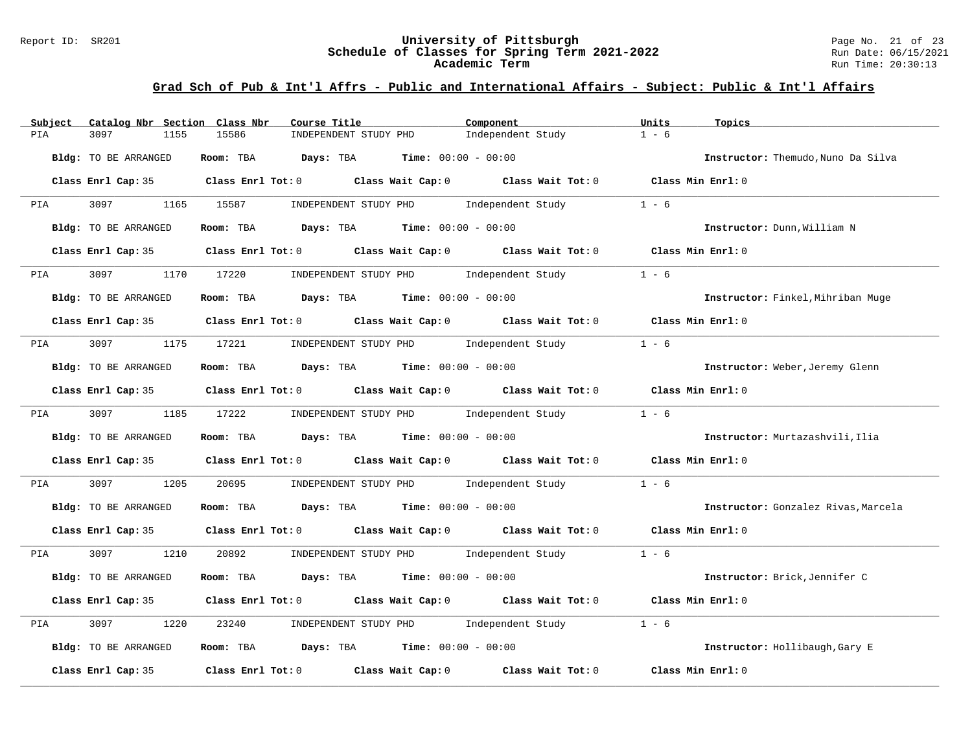#### Report ID: SR201 **University of Pittsburgh** Page No. 21 of 23 **Schedule of Classes for Spring Term 2021-2022** Run Date: 06/15/2021 **Academic Term** Run Time: 20:30:13

| Catalog Nbr Section Class Nbr<br>Subject | Course Title                                                                               | Component         | Units<br>Topics                     |
|------------------------------------------|--------------------------------------------------------------------------------------------|-------------------|-------------------------------------|
| 3097<br>1155<br>PIA                      | 15586<br>INDEPENDENT STUDY PHD                                                             | Independent Study | $1 - 6$                             |
| Bldg: TO BE ARRANGED                     | Room: TBA $Days:$ TBA $Time: 00:00 - 00:00$                                                |                   | Instructor: Themudo, Nuno Da Silva  |
|                                          | Class Enrl Cap: 35 Class Enrl Tot: 0 Class Wait Cap: 0 Class Wait Tot: 0 Class Min Enrl: 0 |                   |                                     |
| 3097 1165 15587<br><b>PIA</b>            | INDEPENDENT STUDY PHD Independent Study                                                    |                   | $1 - 6$                             |
| Bldg: TO BE ARRANGED                     | Room: TBA $Days:$ TBA $Time: 00:00 - 00:00$                                                |                   | Instructor: Dunn, William N         |
|                                          | Class Enrl Cap: 35 Class Enrl Tot: 0 Class Wait Cap: 0 Class Wait Tot: 0 Class Min Enrl: 0 |                   |                                     |
| 3097 300<br><b>PIA</b>                   | 1170 17220<br>INDEPENDENT STUDY PHD 1ndependent Study                                      |                   | $1 - 6$                             |
| Bldg: TO BE ARRANGED                     | Room: TBA $Days:$ TBA $Time: 00:00 - 00:00$                                                |                   | Instructor: Finkel, Mihriban Muge   |
|                                          | Class Enrl Cap: 35 Class Enrl Tot: 0 Class Wait Cap: 0 Class Wait Tot: 0 Class Min Enrl: 0 |                   |                                     |
| <b>PIA</b>                               | 3097 1175 17221 INDEPENDENT STUDY PHD Independent Study                                    |                   | $1 - 6$                             |
| Bldg: TO BE ARRANGED                     | Room: TBA $Days:$ TBA $Time: 00:00 - 00:00$                                                |                   | Instructor: Weber, Jeremy Glenn     |
|                                          | Class Enrl Cap: 35 Class Enrl Tot: 0 Class Wait Cap: 0 Class Wait Tot: 0 Class Min Enrl: 0 |                   |                                     |
| 3097 1185 17222<br><b>PIA</b>            | $INDEXEDENT STUDY PHD Independent Study 1 - 6$                                             |                   |                                     |
| Bldg: TO BE ARRANGED                     | Room: TBA $Days: TBA$ Time: $00:00 - 00:00$                                                |                   | Instructor: Murtazashvili, Ilia     |
|                                          | Class Enrl Cap: 35 Class Enrl Tot: 0 Class Wait Cap: 0 Class Wait Tot: 0 Class Min Enrl: 0 |                   |                                     |
| 3097<br>1205<br>PIA                      | 20695<br>INDEPENDENT STUDY PHD Independent Study                                           |                   | $1 - 6$                             |
| Bldg: TO BE ARRANGED                     | Room: TBA $\rule{1em}{0.15mm}$ Days: TBA Time: $00:00 - 00:00$                             |                   | Instructor: Gonzalez Rivas, Marcela |
|                                          | Class Enrl Cap: 35 Class Enrl Tot: 0 Class Wait Cap: 0 Class Wait Tot: 0 Class Min Enrl: 0 |                   |                                     |
| 3097 1210<br><b>PIA</b>                  | INDEPENDENT STUDY PHD Independent Study 1 - 6<br>20892                                     |                   |                                     |
| Bldg: TO BE ARRANGED                     | Room: TBA $Days:$ TBA $Time: 00:00 - 00:00$                                                |                   | Instructor: Brick, Jennifer C       |
|                                          | Class Enrl Cap: 35 Class Enrl Tot: 0 Class Wait Cap: 0 Class Wait Tot: 0 Class Min Enrl: 0 |                   |                                     |
| 3097<br>1220<br>PIA                      | 23240<br>INDEPENDENT STUDY PHD Independent Study                                           |                   | $1 - 6$                             |
| Bldg: TO BE ARRANGED                     | Room: TBA $Days:$ TBA $Time: 00:00 - 00:00$                                                |                   | Instructor: Hollibaugh, Gary E      |
| Class Enrl Cap: 35                       | Class Enrl Tot: $0$ Class Wait Cap: $0$ Class Wait Tot: $0$                                |                   | Class Min Enrl: 0                   |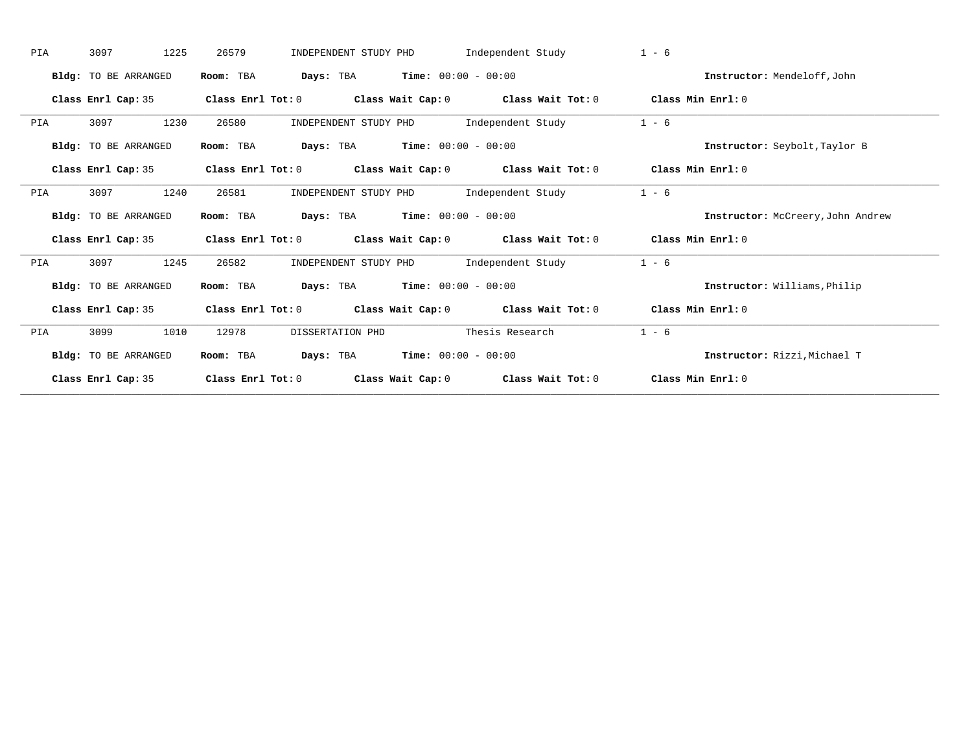| PIA | 3097<br>1225                | 26579<br>INDEPENDENT STUDY PHD                                                                     | Independent Study | $1 - 6$                           |
|-----|-----------------------------|----------------------------------------------------------------------------------------------------|-------------------|-----------------------------------|
|     | Bldg: TO BE ARRANGED        | Days: TBA Time: 00:00 - 00:00<br>Room: TBA                                                         |                   | Instructor: Mendeloff, John       |
|     | Class Enrl Cap: 35          | Class Enrl Tot: $0$ Class Wait Cap: $0$ Class Wait Tot: $0$ Class Min Enrl: $0$                    |                   |                                   |
| PIA | 1230<br>3097                | INDEPENDENT STUDY PHD 1ndependent Study<br>26580                                                   |                   | $1 - 6$                           |
|     | Bldg: TO BE ARRANGED        | <b>Days:</b> TBA <b>Time:</b> $00:00 - 00:00$<br>Room: TBA                                         |                   | Instructor: Seybolt, Taylor B     |
|     | Class Enrl Cap: 35          | Class Enrl Tot: $0$ Class Wait Cap: $0$ Class Wait Tot: $0$ Class Min Enrl: $0$                    |                   |                                   |
| PIA | 1240<br>3097                | 26581<br>INDEPENDENT STUDY PHD                                                                     | Independent Study | $1 - 6$                           |
|     | <b>Bldg:</b> TO BE ARRANGED | $\texttt{Days:}$ TBA $\texttt{Time:}$ 00:00 - 00:00<br>Room: TBA                                   |                   | Instructor: McCreery, John Andrew |
|     | Class Enrl Cap: 35          | Class Enrl Tot: $0$ Class Wait Cap: $0$ Class Wait Tot: $0$ Class Min Enrl: $0$                    |                   |                                   |
| PIA | 3097<br>1245                | INDEPENDENT STUDY PHD 1ndependent Study<br>26582                                                   |                   | $1 - 6$                           |
|     | Bldg: TO BE ARRANGED        | <b>Days:</b> TBA <b>Time:</b> $00:00 - 00:00$<br>Room: TBA                                         |                   | Instructor: Williams, Philip      |
|     | Class Enrl Cap: 35          | Class Enrl Tot: 0 $\qquad$ Class Wait Cap: 0 $\qquad$ Class Wait Tot: 0 $\qquad$ Class Min Enrl: 0 |                   |                                   |
|     |                             |                                                                                                    |                   |                                   |
| PIA | 3099<br>1010                | 12978<br>DISSERTATION PHD                                                                          | Thesis Research   | $1 - 6$                           |
|     | <b>Bldg:</b> TO BE ARRANGED | <b>Days:</b> TBA <b>Time:</b> $00:00 - 00:00$<br>Room: TBA                                         |                   | Instructor: Rizzi. Michael T      |